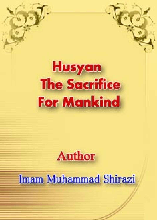# **Husyan The Sacrifice For Mankind**

# **Author**

# Imam Muhammad Shirazi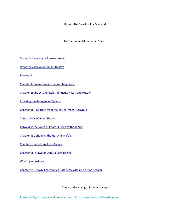Husyan The Sacrifice For Mankind

Author : Imam Muhammad Shirazi

Some of the sayings of Imam Husayn

What they said about Imam Husayn

Foreword

Chapter 1: Imam Husayn – a brief biography

Chapter 2: The Distinct Roles of Imams Hasan and Husayn

Exposing the Savagery of Tyrants

Chapter 3: A Glimpse from the Ray of Imam Husayn24

Companions of Imam Husayn

Conveying the Voice of Imam Husayn to the World

Chapter 4: Upholding the Husayni Sha'a'er

Chapter 5: Benefiting from Ashura

Chapter 6: Fatawa on Ashura Ceremonies

Working on Ashura

Chapter 7: Husayni Ceremonies‐ Interview with a Christian Scholar

# Some of the sayings of Imam Husayn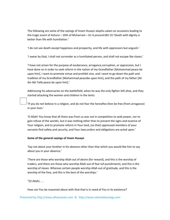The following are some of the sayings of Imam Husayn alayhis‐salam on occasions leading to the tragic event of Ashura – 10th of Muharram – 61 H,around 681 CE:'Death with dignity is better than life with humiliation.'

'I do not see death except happiness and prosperity, and life with oppressors but anguish.'

'I swear by God, I shall not surrender as a humiliated person, and shall not escape like slaves.'

'I have not arisen for the purpose of exuberance, arrogance,corruption, or oppression, but I have done so in order to seek reform in the nation of my Grandfather [Muhammad peace be upon him]. I want to promote virtue and prohibit vice, and I want to go down the path and tradition of my Grandfather [Muhammad peacebe upon him], and the path of my father [Ali ibn Abi Talib peace be upon him].'

Addressing his adversaries on the battlefield, when he was the only fighter left alive, and they started attacking the women and children in the tents:

'If you do not believe in a religion, and do not fear the hereafter,then be free (from arrogance) in your lives.'

'O Allah! You know that all there was from us was not in competition to seek power, nor to gain refuse of the world1, but it was nothing other than to present the signs and essence of Your religion, and to promote reform in Your land, (so that) oppressed members of your servants find safety and security, and Your laws,orders and obligations are acted upon.'

#### **Some of the general sayings of Imam Husayn**

'Say not about your brother in his absence other than that which you would like him to say about you in your absence.'

'There are those who worship Allah out of desire (for reward), and this is the worship of traders, and there are those who worship Allah out of fear (of punishment), and this is the worship of slaves. Whereas certain people worship Allah out of gratitude, and this is the worship of the free, and this is the best of the worships.'

"(O Allah)  $\ldots$ 

How can You be reasoned about with that that is in need of You in its existence?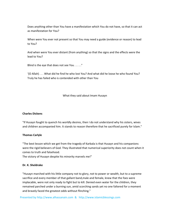Does anything other than You have a manifestation which You do not have, so that it can act as manifestation for You?

When were You ever not present so that You may need a guide (evidence or reason) to lead to You?

And when were You ever distant (from anything) so that the signs and the effects were the lead to You?

Blind is the eye that does not see You . . . . ."

'(O Allah) . . . What did he find he who lost You? And what did he loose he who found You? Truly he has failed who is contended with other than You

What they said about Imam Husayn

#### **Charles Dickens**

"If Husayn fought to quench his worldly desires, then I do not understand why his sisters, wives and children accompanied him. It stands to reason therefore that he sacrificed purely for Islam."

#### **Thomas Carlyle**

"The best lesson which we get from the tragedy of Karbala is that Husayn and his companions were the rigid believers of God. They illustrated that numerical superiority does not count when it comes to truth and falsehood.

The victory of Husayn despite his minority marvels me!"

# **Dr. K. Sheldrake**

"Husayn marched with his little company not to glory, not to power or wealth, but to a supreme sacrifice and every member of that gallant band,male and female, knew that the foes were implacable, were not only ready to fight but to kill. Denied even water for the children, they remained parched under a burning sun, amid scorching sands yet no one faltered for a moment and bravely faced the greatest odds without flinching."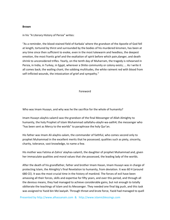#### **Brown**

in his "A Literary History of Persia" writes:

"As a reminder, the blood‐stained field of Karbala' where the grandson of the Apostle of God fell at length, tortured by thirst and surrounded by the bodies of his murdered kinsmen, has been at any time since then sufficient to evoke, even in the most lukewarm and heedless, the deepest emotion, the most frantic grief and the exaltation of spirit before which pain,danger, and death shrink to unconsidered trifles. Yearly, on the tenth day of Muharram, the tragedy is rehearsed in Persia, in India, in Turkey, in Egypt, wherever a Shiite community or colony exists; ... As I write it all comes back; the wailing chant, the sobbing multitudes, the white raiment red with blood from self-inflicted wounds, the intoxication of grief and sympathy."

#### Foreword

Who was Imam Husayn, and why was he the sacrifice for the whole of humanity?

Imam Husayn alayhis‐salam3 was the grandson of the final Messenger of Allah Almighty to humanity, the holy Prophet of Islam Muhammad sallallahu-alayhi-wa-aalih4; the messenger who "has been sent as Mercy to the worlds" to paraphrase the holy Qur'an.

His father was Imam Ali alayhis‐salam, the commander of faithful, who comes second only to prophet Muhammad in the excellent merits that he possessed; qualities such as piety, sincerity, charity, tolerance, vast knowledge, to name a few.

His mother was Fatima al‐Zahra' alayhas‐salam5, the daughter of prophet Muhammad and, given her immaculate qualities and moral values that she possessed, the leading lady of the worlds.

After the death of his grandfather, father and brother Imam Hasan, Imam Husayn was in charge of protecting Islam, the Almighty's final Revelation to humanity, from deviation. It was 60 H (around 680 CE). It was the most crucial time in the history of mankind. The forces of evil have been amassing all their forces, skills and expertise for fifty years, and over this period, and through all the devious means, they had managed to achieve considerable gains, but not enough to totally obliterate the teachings of Islam and its Messenger. They needed one final big push, and this task was assigned to Yazid bin Mo'awiyah. Through threat and brute force, Yazid had managed to quell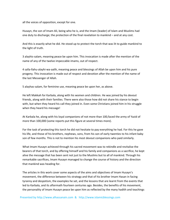all the voices of opposition, except for one.

Husayn, the son of Imam Ali, being who he is, and the Imam (leader) of Islam and Muslims had one duty to discharge; the protection of the final revelation to mankind – and at any cost.

And this is exactly what he did. He stood up to protect the torch that was lit to guide mankind to the light of truth.

3 alayhis‐salam, meaning peace be upon him. This invocation is made after the mention of the name of any of the twelve impeccable imams, out of respect.

4 salla‐llahu‐alayhi‐wa‐aalih, meaning peace and blessings of Allah be upon him and his pure progeny. This invocation is made out of respect and devotion after the mention of the name of the last Messenger of Allah.

5 alayhas‐salam, for feminine use, meaning peace be upon her, as above.

He left Makkah for Karbala, along with his women and children. He was joined by his devout friends, along with their families. There were also those how did not share his stance to begin with, but when they heard his call they joined in. Even some Christians joined him in his struggle when they heard his message!

At Karbala he, along with his loyal companions of not more than 100,faced the army of Yazid of more than 100,000 (some reports put this figure at several times more).

For the task of protecting this torch he did not hesitate to pay everything he had. For this he gave his life, and those of his brothers, nephews, sons, from his son of early twenties to his infant baby son of few months. This is not to mention his most devout companions who paid similarly.

What Imam Husayn achieved through his sacred movement was to rekindle and revitalise the bearers of that torch, and by offering himself and his family and companions as a sacrifice, he kept alive the message that has been sent not just to the Muslims but to all of mankind. Through his remarkable sacrifices, Imam Husayn managed to change the course of history and the direction that mankind was heading for.

The articles in this work cover some aspects of the aims and objectives of Imam Husayn's movement, the difference between his strategy and that of his brother Imam Hasan in facing tyranny and despotism, the examples he set, and the lessons that are learnt from the events that led to Karbala, and its aftermath fourteen centuries ago. Besides, the benefits of his movement, the personality of Imam Husayn peace be upon him as reflected by the many hadith and teachings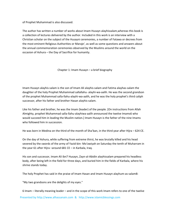of Prophet Muhammad is also discussed.

The author has written a number of works about Imam Husayn alayhissalam,whereas this book is a collection of lectures delivered by the author. Included in this work is an interview with a Christian scholar on the subject of the Husayni ceremonies, a number of Fatawa or decrees from the most eminent Religious Authorities or Maraje', as well as some questions and answers about the annual commemoration ceremonies observed by the Muslims around the world on the occasion of Ashura – the Day of Sacrifice for humanity.

Chapter 1: Imam Husayn – a brief biography

Imam Husayn alayhis‐salam is the son of Imam Ali alayhis‐salam and Fatima alayhas‐salam the daughter of the holy Prophet Muhammad sallallahu‐ alayhi‐wa‐aalih. He was the second grandson of the prophet Muhammad salla‐llahu‐alayhi‐wa‐aalih, and he was the holy prophet's third caliph successor, after his father and brother Hasan alayhis‐salam.

Like his father and brother, he was the Imam (leader) of the people. [On instructions from Allah Almighty, prophet Muhammad salla‐llahu‐alayhiwa‐aalih announced the twelve Imams6 who would succeed him in leading the Muslim nation.] Imam Husayn is the father of the nine Imams who followed him in succession.

He was born in Medina on the third of the month of Sha'ban, in the third year after Hijra – 624 CE.

On the day of Ashura, while suffering from extreme thirst, he was brutally killed and his head severed by the swords of the army of Yazid-bin-Mo'awiyah on Saturday the tenth of Muharram in the year 61 after Hijra –around 681 CE – in Karbala, Iraq.

His son and successor, Imam Ali ibn7 Husayn, Zayn‐al‐Abidin alayhissalam prepared his headless body, after being left in the field for three days, and buried him in the fields of Karbala, where his shrine stands today.

The holy Prophet has said in the praise of Imam Hasan and Imam Husayn alayhum‐as‐salam8:

"My two grandsons are the delights of my eyes."

Presented by http://www.alhassanain.com & http://www.islamicblessings.com 6 Imam – literally meaning leader – and in the scope of this work Imam refers to one of the twelve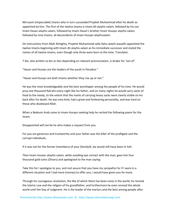Ma'soom (impeccable) Imams who in turn succeeded Prophet Muhammad after his death as appointed by him. The first of the twelve Imams is Imam Ali alayhis-salam, followed by his son Imam Hasan alayhis‐salam, followed by Imam Hasan's brother Imam Husayn alayhis‐salam, followed by nine Imams, all descendents of Imam Husayn alayhissalam.

On instructions from Allah Almighty, Prophet Muhammad salla‐llahu‐alayhi‐waaalih appointed the twelve Imams beginning with Imam Ali alayhis‐salam as his immediate successor and stated the names of all twelve imams, even though only three were born at the time. Translator.

7 ibn, also written as bin or ben depending on relevant pronunciation, is Arabic for 'son of'.

"Hasan and Husayn are the leaders of the youth in Paradise."

"Hasan and Husayn are both Imams whether they rise up or not."

He was the most knowledgeable and the best worshipper among the people of his time. He would pray one thousand Rak'ahs every night like his father, and on many nights he would carry sacks of food to the needy, to the extent that the marks of carrying heavy sacks were clearly visible on his back after his death. He was very kind, had a great and forbearing personality, and was hard on those who disobeyed Allah.

When a Bedouin Arab came to Imam Husayn seeking help he recited the following poem for the Imam:

Disappointed will not be he who makes a request from you.

For you are generous and trustworthy and your father was the killer of the profligate and the corrupt individuals.

If it was not for the former (members) of your (family)9, we would still have been in hell.

Then Imam Husayn alayhis‐salam, while avoiding eye contact with the man, gave him four thousand gold coins (Dinars) and apologized to the man saying:

Take this for I apologise to you, and rest assure that you have my sympathy For if I were in a different situation and I had more (money) to offer you, I would have given you far more.

Through his courageous revolution, the like of which there has been none in the world, he revived the Islamic Law and the religion of his grandfather, and furthermore he even revived the whole world until the Day of Judgment. He is the leader of the martyrs and the best among people after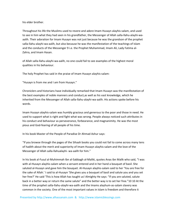his elder brother.

Throughout his life the Muslims used to revere and adore Imam Husayn alayhis‐salam, and used to see in him what they had seen in his grandfather, the Messenger of Allah salla-llahu-alayhi-waaalih. Their adoration for Imam Husayn was not just because he was the grandson of the prophet salla‐llahu‐alayhi‐wa‐aalih, but also because he was the manifestation of the teachings of Islam and the conducts of the Messenger 9 i.e. the Prophet Muhammad, Imam Ali, Lady Fatima al‐ Zahra, and Imam Hasan.

of Allah salla‐llahu‐alayhi‐wa‐aalih, no one could fail to see examples of the highest moral qualities in his behaviour.

The holy Prophet has said in the praise of Imam Husayn alayhis‐salam:

"Husayn is from me and I am from Husayn."

Chroniclers and historians have individually remarked that Imam Husayn was the manifestation of the best examples of noble manners and conduct,as well as his vast knowledge, which he inherited from the Messenger of Allah salla‐llahu‐alayhi‐wa‐aalih. His actions spoke before his words.

Imam Husayn alayhis‐salam was humbly gracious and generous to the poor and those in need. He used to support what is right and fight what was wrong. People always noticed such attributes in his conduct and behaviour as perseverance, forbearance, and magnanimity. He was the most pious and God‐fearing of all people of his time.

In his book Master of the People of Paradise Dr Ahmad Ashur says:

"If you browse through the pages of the Sihaah books you could not fail to come across many tens of hadith about the merit and superiority of Imam Husayn alayhis‐salam and the love of the Messenger of Allah salla‐llahualayhi‐ wa‐aalih for him."

In his book al‐Fusul al‐Muhimmah Ibn al‐Sabbagh al‐Maliki, quotes Anas ibn Malik who said, "I was with al-Husayn alayhis-salam when a servant entered and in her hand a bouquet of basil. She saluted al‐Husayn and gave him the bouquet. Al‐Husayn alayhis‐salam said to her 'You are free for the sake of Allah.' I said to al‐Husayn 'She gives you a bouquet of basil and salute you and you set her free?' He said 'This is how Allah has taught us! Almighty He says: "If you are saluted, salute back in a better way or return the same salute" and the better way is to set her free."10 10 At the time of the prophet salla‐llahu‐alayhi‐wa‐aalih and the Imams alayhum‐as‐salam slavery was common in the society. One of the most important values in Islam is freedom and therefore it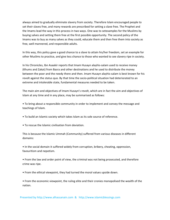always aimed to gradually eliminate slavery from society. Therefore Islam encouraged people to set their slaves free, and many rewards are prescribed for setting a slave free. The Prophet and the Imams lead the way in this process in two ways. One was to setexamples for the Muslims by buying salves and setting them free at the first possible opportunity. The second policy of the Imams was to buy as many salves as they could, educate them and then free them into society as free, well mannered, and responsible adults.

In this way, this policy gave a good chance to a slave to attain his/her freedom, set an example for other Muslims to practice, and give less chance to those who wanted to see slavery ripe in society.

In his Chronicles, Ibn Asaakir reports that Imam Husayn alayhis‐salam used to receive money (Khums and Zakat) from Basra and other destinations and he used to distribute the money between the poor and the needy there and then. Imam Husayn alayhis‐salam is best known for his revolt against the status quo. By that time the socio-political situation had deteriorated to an extreme and intolerable state, fundamental measures needed to be taken.

The main aim and objectives of Imam Husayn's revolt, which are in fact the aim and objectives of Islam at any time and in any place, may be summarised as follows:

• To bring about a responsible community in order to implement and convey the message and teachings of Islam.

- To build an Islamic society which takes Islam as its sole source of reference.
- To rescue the Islamic civilisation from deviation.

This is because the Islamic Ummah (Community) suffered from various diseases in different domains:

• In the social domain it suffered widely from corruption, bribery, cheating, oppression, favouritism and nepotism.

• From the law and order point of view, the criminal was not being prosecuted, and therefore crime was ripe.

- From the ethical viewpoint, they had turned the moral values upside down.
- From the economic viewpoint, the ruling elite and their cronies monopolised the wealth of the nation.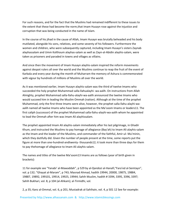For such reasons, and for the fact that the Muslims had remained indifferent to these issues to the extent that these had become the norm,that Imam Husayn rose against the injustice and corruption that was being conducted in the name of Islam.

In the course of his jihad in the cause of Allah, Imam Husayn was brutally beheaded and his body mutilated, alongside his sons, relatives, and some seventy of his followers. Furthermore the women and children, who were subsequently captured, including Imam Husayn's sisters Zaynab alayhassalam and Umm Kolthoum alayhas‐salam as well as Zayn‐al‐Abidin alayhis‐salam, were taken as prisoners and paraded in towns and villages as villains.

And since then the movement of Imam Husayn alayhis‐salam inspired the reform movements against despot rulers all over the world and the Muslims continue to reap the fruit of the event of Karbala and every year during the month of Muharram the memory of Ashura is commemorated with vigour by hundreds of millions of Muslims all over the world.

As it was mentioned earlier, Imam Husayn alayhis‐salam was the third of twelve Imams who succeeded the holy prophet Muhammad salla‐llahualayhi‐ wa‐aalih. On instructions from Allah Almighty, prophet Muhammad salla‐llahu‐alayhi‐wa‐aalih announced the twelve Imams who would succeed him in leading the Muslim Ommah (nation). Although at the time of the prophet Muhammad, only the first three Imams were alive, however, the prophet salla-llahu-alayhi-waaalih named all twelve Imams who have been appointed as the Ma'soom Imams or leaders11. The first caliph (successor) of the prophet Muhammad salla-llahu-alayhi-wa-aalih whom he appointed to lead the Ommah after him was Imam Ali alayhissalam.

The prophet appointed Imam Ali alayhis‐salam immediately after his last pilgrimage, in Ghadir Khum, and instructed the Muslims to pay homage of allegiance (Bay'ah) to Imam Ali alayhis‐salam as the Imam and the leader of the Muslims, and commander of the faithful, Amir‐ul‐ Mu'minin, which they dutifully did. Given the number of people present at the time, some reports put the figure at more than one‐hundred‐andtwenty‐ thousands12; it took more than three days for them to pay thehomage of allegiance to Imam Ali alayhis‐salam.

The names and titles of the twelve Ma'soom13 Imams are as follows (year of birth given in brackets):

11 for example see "Yanabi' al‐Mawaddah", p 529 by al‐Qandozi al‐Hanafi;"Fara'ed al‐Semtayn", vol. p 132; "Ghayat al‐Maram", p 743; Masnad Ahmad, hadith 19944, 20000, 19875, 19884, 19887, 19892, 199101, 19914, 19925, 19944; Sahih Muslim, hadith # 3394, 3395, 3396, 3397; Sahih Bukhari, vol. 8, p 104 (al‐Ahkam); al‐Tirmidhi, vol.

2, p 35; Kanz al‐Ommal, vol. 6, p 201; Mustadrak al‐Sahihain, vol. 4, p 501 12 See for example: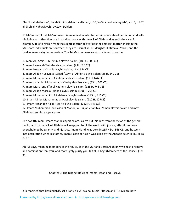"Tathkirat al‐Khawas", by al‐Sibt ibn al‐Jwazi al‐Hanafi, p 30;"al‐Sirah al‐Halabeyyah", vol. 3, p 257; al‐Sirah al‐Nabawiyyah" by Zeyn Dahlan.

13 Ma'soom (plural, Ma'soomeen) is an individual who has attained a state of perfection and self‐ discipline such that they are in total harmony with the will of Allah, and as such they are, for example, able to refrain from the slightest error or overlook the smallest matter. In Islam the Ma'soom individuals are fourteen; they are Rasulollah, his daughter Fatima al‐Zahra', and the twelve Imams alayhum‐as‐salam. The 14 Ma'soomeen are also referred to as the

1. Imam Ali, Amir‐ul‐Mu'minin alayhis‐salam, (10 BH, 600 CE)

2. Imam Hasan al‐Mujtaba alayhis‐salam, (2 H, 623 CE)

- 3. Imam Husayn al‐Shahid alayhis‐salam, (3 H, 624 CE)
- 4. Imam Ali ibn Husayn, al‐Sajjad / Zayn‐al‐Abidin alayhis‐salam,(28 H, 649 CE)

5. Imam Muhammad ibn Ali al‐Baqir alayhis‐salam, (57 H, 676 CE)

6. Imam Ja'far ibn Muhammad al‐Sadiq alayhis‐salam, (83 H, 702 CE)

7. Imam Mosa ibn Ja'far al‐Kadhem alayhis‐salam, (128 H, 745 CE)

8. Imam Ali ibn Mosa al‐Ridha alayhis‐salam, (148 H, 765 CE)

9. Imam Muhammad ibn Ali al‐Jawad alayhis‐salam, (195 H, 810 CE)

10. Imam Ali ibn Muhammad al‐Hadi alayhis‐salam, (212 H, 827CE)

11. Imam Hasan ibn Ali al‐Askari alayhis‐salam, (232 H, 846 CE)

12. Imam Muhammad ibn Hasan al‐Mahdi / al‐Hujjah / Sahib al‐Zaman alayhis‐salam and may Allah hasten his reappearance.

The twelfth Imam, Imam Mahdi alayhis‐salam is alive but 'hidden' from the views of the general public, and by the will of Allah he will reappear to fill the world with justice, after it has been overwhelmed by tyranny andinjustice. Imam Mahdi was born in 255 Hijra, 868 CE, and he went into occultation when his father, Imam Hasan al‐Askari was killed by the Abbasid ruler in 260 Hijra, 873 CE.

Ahl‐ul‐Bayt, meaning members of the house, as in the Qur'anic verse Allah only wishes to remove all abomination from you, and thoroughly purify you, O Ahl‐ul‐Bayt (Members of the House). [33: 33].

Chapter 2: The Distinct Roles of Imams Hasan and Husayn

It is reported that Rasulollah15 salla‐llahu‐alayhi‐wa‐aalih said, "Hasan and Husayn are both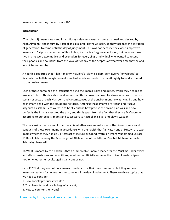Imams whether they rise up or not16".

#### **Introduction**

(The roles of) Imam Hasan and Imam Husayn alayhum‐as‐salam were planned and devised by Allah Almighty, and in turn by Rasulollah sallallahu‐ alayhi‐wa‐aalih, so they facilitate the salvation of generations to come until the day of judgement. This was not because they were simply two Imams and Caliphs [successors] of Rasulollah, for this is a forgone conclusion, but because these two Imams were two models and exemplars for every single individual who wanted to rescue their peoples and countries from the yoke of tyranny of the despots at whatever time they be and in whichever country.

A hadith is reported that Allah Almighty, via Jibra'el alayhis‐salam, sent twelve "envelopes" to Rasulollah salla‐llahu‐alayhi‐wa‐aalih each of which was sealed by the Almighty to be distributed to the twelve Imams.

Each of these contained the instructions as to the Imams' roles and duties, which they needed to execute in turn. This is a short and known hadith that needs at least fourteen sessions to discuss certain aspects of each Ma'soom and circumstances of the environment he was living in, and how each Imam dealt with the situations he faced. Amongst these Imams are Hasan and Husayn alayhum‐as‐salam. Here we wish to briefly outline how precise the divine plan was and how perfectly the Imams executed the plan, and this is apart from the fact that they are Ma'soom, or according to our beliefs Imams and successors to Rasulollah salla‐llahu‐alayhi‐waaalih.

The conclusion that we want to arrive at is whether we can make use of the circumstances and conducts of these two Imams in accordance with the hadith that "al‐Hasan and al‐Husayn are two Imams whether they rise up 14 Abstract of lecture by Grand Ayatollah Imam Muhammad Shirazi 15 Rasulollah meaning the Messenger of Allah, is one of the titles of Prophet Muhammad salla‐ llahu‐alayhi‐wa‐aalih.

16 What is meant by this hadith is that an impeccable Imam is leader for the Muslims under every and all circumstances and conditions; whether he officially assumes the office of leadership or not, or whether he revolts against a tyrant or not.

or not"? That they are not only Imams – leaders – for their own times only, but they remain Imams or leaders for generations to come until the day of judgement. There are three topics that we need to consider:

- 1. How society produces tyrants?
- 2. The character and psychology of a tyrant,
- 3. How to counter the tyrant?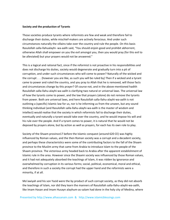#### **Society and the production of Tyrants**

Those societies produce tyrants where reformists are few and weak and therefore fail to discharge their duties, while mischief‐makers are actively ferocious. And under such circumstances naturally the villains take over the country and rule the people. On this basis Rasulollah salla‐llahualayhi‐ wa‐aalih said, "You should enjoin good and prohibit abhorrent, otherwise Allah shall empower on you the evil amongst you, then you would pray (for this evil to be alleviated) but your prayers would not be answered."

This is a logical and rational fact, since if the reformist is not proactive in his responsibilities and does not discharge his duties, society would degenerate and gradually turn into a pit of corruption, and under such circumstances who will come to power? Naturally of the wicked and the corrupt . . . {however you are like, as such you will be ruled by} Then if a wicked and a tyrant came to power and ruled the country, and you pray to Allah that he is removed, will those facts and circumstances change by this prayer? Of course not, and in the above-mentioned hadith Rasulollah salla‐llahu‐alayhi‐wa‐aalih is clarifying two natural or universal laws. The universal law of how the tyrants come to power, and the law that prayers (alone) do not remove the tyrants from power. Both are universal laws, and here Rasulollah salla-llahu-alayhi-wa-aalih is not outlining a (specific) Islamic law for us, nor is he informing us from the unseen, but any sound thinking individual (and Rasulollah salla‐llahu‐alayhi‐wa‐aalih is the master of wisdom and intellect) would realise that the society in which reformists fail to discharge their duties, eventually and naturally a tyrant would take over the country, and he would impose his will and his rule over the people. And if a tyrant comes to power, it is natural that he would not be deposed by prayers alone, but by action as well as prayers, for each has its own role to play.

Society of the Shaam province17 before the Islamic conquest (around 620 CE) was highly influenced by Roman values, and the then Roman society was a corrupt and a decadent society, and perhaps these characteristics were some of the contributing factors to the fall of the Shaam province to the Muslim army that came from Arabia to introduce Islam to the people of the Shaam province. The victorious army headed back to Arabia after the apparent establishment of Islamic rule in the area. However since the Shaami society was influenced by those Roman values, and it had not adequately absorbed the teachings of Islam, it was ridden by ignorance and overwhelmed by corruption in its various forms; social, political, economical, moral and ethical, and therefore in such a society the corrupt had the upper hand and the reformists were a minority, if at all.

Mo'awiyah and his son Yazid were the by product of such corrupt society, as they did not absorb the teachings of Islam, nor did they learn the manners of Rasulollah salla‐llahu‐alayhi‐wa‐aalih, like Imam Hasan and Imam Husayn alayhum‐as‐salam had done in the holy city of Medina, where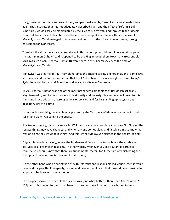the government of Islam was established, and personally led by Rasulollah salla-llahu-alayhi-waaalih. Thus a society that has not adequately absorbed Islam and the effect of reform is still superficial, would easily be manipulated by the likes of Mo'awiyah, and through fear or deceit would fall back to its old traditions and beliefs, i.e. corrupt Roman values. Hence the like of Mo'awiyah and Yazid managed to take over and hold on to the office of government, through enticement and/or threat.

To reflect the situation above, a poet states in this famous poem, I do not know what happened to the Muslim men Or how Yazid happened to be the king amongst them How many (responsible) Muslims such as Abu Tharr al‐Ghefari18 were there in the Shaami society at the time of Mo'awiyah and Yazid?

Mo'awiyah was fearful of Abu Tharr alone, since the Shaami society did not know the Islamic laws and values, and the former was afraid that the 17 The Shaam province roughly covered today's Syria, Lebanon, Jordan and Palestine, and its capital city was Damascus.

18 Abu Tharr al‐Ghefari was one of the most prominent companions of Rasulollah sallallahu‐ alayhi‐wa‐aalih, and he was known for his sincerity and honesty. He also became known for his frank and brave criticism of wrong actions or policies, and for his standing up to tyrant and despots rulers of his time.

latter would turn things against him by presenting the Teachings of Islam as taught by Rasulollah salla‐llahu‐alayhi‐wa‐aalih to the public.

It is like introducing Islam to a new city. Will that society be a deeply Islamic one? No. Only on the surface things may have changed, and when anyone comes along and falsely claims to know the way of Islam, they would follow him! And this is what Mo'awiyah claimed in the Shaami society.

A tyrant is born in a society, where the fundamental factor in nurturing him is the established corrupt social order of that society. In other words, whenever you see a tyrant is born in a country, you should know that there are fundamental factors for it, the first of which being the corrupt and decadent social proviso of that country.

On the other hand when a society is rich with reformist and responsible individuals, then it would be a field for growth of prosperity, reform and development, such that it would be impossible for a tyrant to be born in that environment.

The prophet showed the people the Islamic way {and what better is there than Allah's way} [2: 138], and it is then up to them to adhere to those teachings in order to reach their targets.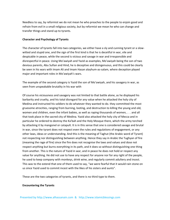Needless to say, by reformist we do not mean he who preaches to the people to enjoin good and refrain from evil in a small religious society, but by reformist we mean he who can change and transfer things and stand up to tyrants.

#### **Character and Psychology of Tyrants**

The character of tyrants fall into two categories, we either have a sly and cunning tyrant or a slow‐ witted and stupid one, and the sign of the first kind is that he is deceitful in war, vile and despicable in peace, while the second is vicious and savage in war and irresponsible and disrespectful in peace. Using Mo'awiyah and Yazid as examples, Mo'awiyah being the son of two devious parents, Abu Sufian and Hind, he is deceptive and disingenuous, and this could be clearly be seen in his wars with Imam Ali and Imam Hasan alayhum‐as‐salam, where deception played major and important roles in Mo'awiyah's wars.

The example of the second category is Yazid the son of Mo'awiyah, and his savagery in war, as seen from unspeakable brutality in his war with

Of course his viciousness and savagery was not limited to that battle alone, as he displayed his barbarity and cruelty, and his total disregard for any value when he attacked the holy city of Medina and instructed his soldiers to do whatever they wanted to do. they committed the most gruesome atrocities, ranging from burning, looting, and destruction to killing the young and old, women and children, even the infant babies, as well as raping thousands of women, . . . and all that took place in the sacred city of Medina. Yazid also attacked the holy city of Mecca and in particular he ordered to destroy the Ka'bah and the Holy Mosque there, which the army torched by attacking it by mangonel or catapult. It is in this sense that one is considered savage and brutal in war, since the tyrant does not respect even the rules and regulations of engagement, or any other laws, ideas or understanding. And this is the meaning of Taghut (the Arabic word of Tyrant) not respecting nor distinguishing between anything. Hence they say in Arabic the Tughyan of fire (meaning the rage of fire) since the fire does not recognise the laws and values and dose not respect anything but burns everything in its path, and it does so without distinguishing one thing from another. This is the nature of Yazid in war, and in peace he does not hold or respect any value for anything. He did not use to have any respect for anyone nor for any right of the people, he used to keep company with monkeys, drink wine, and regularly commit adultery and incest. This was to the extend that one of them used to say, "we were fearful that it would rain stone on us since Yazid used to commit incest with the likes of his sisters and aunts".

These are the two categories of tyrants, and there is no third type to them.

#### **Encountering the Tyrants**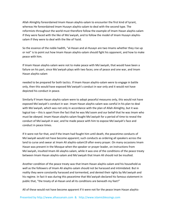Allah Almighty foreordained Imam Hasan alayhis‐salam to encounter the first kind of tyrant, whereas He foreordained Imam Husayn alayhis‐salam to deal with the second type. The reformists throughout the world must therefore follow the example of Imam Hasan alayhis‐salam if they were faced with the like of Mo'awiyah, and to follow the model of Imam Husayn alayhis‐ salam if they were to deal with the like of Yazid.

So the essence of the noble hadith, "al‐Hasan and al‐Husayn are two Imams whether they rise up or not" is to point out how Imam Hasan alayhis‐salam should fight his opponent, and how to make peace with him.

If Imam Hasan alayhis‐salam were not to make peace with Mo'awiyah, that would have been a failure on his part, since Mo'awiyah plays with two faces; one of peace and one war, and Imam Hasan alayhis‐salam

needed to be prepared for both tactics. If Imam Hasan alayhis‐salam were to engage in battle only, then this would have exposed Mo'awiyah's conduct in war only and it would not have depicted his conduct in peace.

Similarly if Imam Hasan alayhis‐salam were to adopt peaceful measures only, this would not have exposed Mo'awiyah's conduct in war. Imam Hasan alayhis‐salam was careful in his plan to deal with Mo'awiyah, which was not only in accordance with the plan of Allah Almighty, but it was logical too – this is apart from the fact that he was Ma'soom and our belief that he was Imam who must be obeyed. Imam Hasan alayhis‐salam fought Mo'awiyah for a period of time to reveal the conduct of Mo'awiyah in war, and he made peace with him to expose Mo'awiyah's face and conduct in peace times.

If it were not for that, and if the Imam had fought him until death, the peacetime conducts of Mo'awiyah would not have become apparent; such conducts as ordering all speakers across the land to curse and swear at Imam Ali alayhis-salam19 after every prayer. On many occasions Imam Hasan was present in the Mosque when the speaker or prayer leader, on instructions from Mo'awiyah, insulted Imam Ali alayhis‐salam, while it was one of the conditions of the peace treaty between Imam Hasan alayhis‐salam and Mo'awiyah that Imam Ali should not be insulted.

Another condition of the peace treaty was that Imam Hasan alayhis‐salam and his household as well as the followers of Imam Ali alayhis-salam should not be harassed and intimidated. But in reality they were constantly harassed and tormented, and denied their rights by Mo'awiyah and his regime. In fact it was during this peacetime that Mo'awiyah declared his famous statement in public that, "the treaty of al‐Hasan and all its conditions are beneath my feet!"

All of these would not have become apparent if it were not for the peace Imam Hasan alayhis‐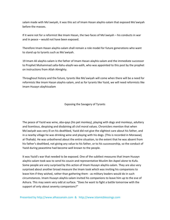salam made with Mo'awiyah, it was this act of Imam Hasan alayhis-salam that exposed Mo'awiyah before the masses.

If it were not for a reformist like Imam Hasan, the two faces of Mo'awiyah – his conducts in war and in peace – would not have been exposed.

Therefore Imam Hasan alayhis‐salam shall remain a role model for future generations who want to stand up to tyrants such as Mo'awiyah.

19 Imam Ali alayhis‐salam is the father of Imam Hasan alayhis‐salam and the immediate successor to Prophet Muhammad salla‐llahu‐alayhi‐wa‐aalih, who was appointed to this post by the prophet on instructions from Allah Almighty.

Throughout history and the future, tyrants like Mo'awiyah will come when there will be a need for reformists like Imam Hasan alayhis‐salam, and as for tyrants like Yazid, we will need reformists like Imam Husayn alayhissalam

Exposing the Savagery of Tyrants

The peace of Yazid was wine, aba‐qays (his pet monkey), playing with dogs and monkeys, adultery and licentious, despising and disdaining all civil moral values. Chroniclers mention that when Mo'awiyah was very ill on his deathbed, Yazid did not give the slightest care about his father, and in a nearby village he was drinking wine and playing with his dogs. (This is recorded in Morawwij al‐Thahab). He was unbothered about the entire situation, to the extent that he was absent from his father's deathbed, not giving any value to his father, or to his successorship, so the conduct of Yazid during peacetime had become well known to the people.

It was Yazid's war that needed to be exposed. One of the subtlest measures that Imam Husayn alayhis‐salam took was to send his cousin and representative Muslim ibn Aqeel alone to Kufa. Some people are very surprised by this action of Imam Husayn alayhis‐salam. They are also very surprised about another broad measure the Imam took which was inviting his companions to leave him if they wished, rather than gathering them ‐ as military leaders would do in such circumstances. Imam Husayn alayhis‐salam invited his companions to leave him up to the eve of Ashura. This may seem very odd at surface. "Does he want to fight a battle tomorrow with the support of only about seventy companions?"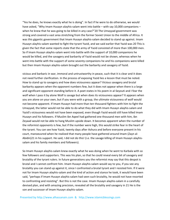"Yes he does, he knows exactly what he is doing". In fact if he were to do otherwise, we would have asked, "Why Imam Husayn alayhis-salam went into battle – with say 10,000 companions – when he knew that he was going to be killed in any case?"20 The Umayyad government was strong and covered a vast area stretching from the former Soviet Union to the middle of Africa. It was this gigantic government that Imam Husayn alayhis-salam decided to stand up against. Imam Husayn alayhis‐salam wanted to fight the tyrant Yazid, and we said earlier that Yazid was 20 This is given the fact that some reports state that the army of Yazid consisted of more than 100,000 men. So if Imam Husayn alayhis‐salam went into battle with the support of 10,000 companions he would be killed, and the savagery and barbarity of Yazid would not be shown, whereas when he went into battle with the support of some seventy companions he and his companions were killed but then Imam Husayn alayhis‐salam brought out the barbarity and savagery of Yazid.

vicious and barbaric in war, immoral and untrustworthy in peace, such that it is clear and it does not need further clarification. In the process of exposing Yazid lies a lesson that must be noted. How to stand up to savagery and how does viciousness appear? Vicious savagery and brutal barbarity appears when the opponent numbers few, but it does not appear when there is a large and significant opponent standing before it. A poet states in his poem in al-Seyouti and I fear the wolf when I pass it by alone Wolf is savage but when does its viciousness appear? It appears when you are alone on your own, but if you were with a group, the ultimate viciousness of wolf would not become apparent. If Imam Husayn had more than ten thousand fighters with him to fight the Umayyad, the latter would not be able to do what they did with Imam Husayn alayhis‐salam and Yazid's viciousness would not have been exposed, even though Yazid would still have killed Imam Husayn and his followers. If Muslim ibn Aqeel had gathered one thousand men with him, ibn Zeyaad would not be able to hang Muslim upside down. It becomes apparent when the number of the reformist opponents is few, but if the number were high, this would strike fear in the heart of the tyrant. You can see how Yazid, twenty days after Ashura and before everyone present in his court, manoeuvred when he realized that many people have gathered around Imam (Zayn al‐ Abidin)21 in his support. He said, I did not do this! (i.e. the savage killing of Imam Husayn alayhissalam and his family members and followers).

So Imam Husayn alayhis‐salam knew exactly what he was doing when he went to Karbala with so few followers and supporters. This was his plan, so that he could reveal every bit of savagery and brutality of the tyrant rulers. In future generations you the reformist may say that this despot is brutal and I cannot confront him. Imam Husayn alayhis‐salam would say to you, if you see any brutality you can stand up against it, since I confronted a brutal tyrant and I resisted him. If it were not for Imam Husayn alayhis-salam and the kind of action and stance he took, it would have been said, "perhaps if Imam Husayn alayhis‐salam had seen such brutality, he would not have resorted to confronting and resisting". But this is not the case. Imam Husayn alayhis‐salam in a carefully devised plan, and with amazing precision, revealed all the brutality and savagery in 21 He is the son and successor of Imam Husayn alayhis‐salam.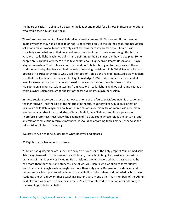the heart of Yazid. In doing so he became the leader and model for all those in future generations who would face a tyrant like Yazid.

Therefore the statement of Rasulollah salla‐llahu‐alayhi‐wa‐aalih, "Hasan and Husayn are two Imams whether they rise up to lead or not" is not limited only in the sacred sense, and Rasulollah salla-llahu-alayhi-waaalih does not only want to show that they are two pious Imams, with knowledge and wisdom so that we could learn the Islamic law from – even though this is true. Rasulollah salla‐llahu‐alayhi‐wa‐aalih is also pointing to their distinct role they had to play. Some people are surprised why there are so few hadith about Fiqh22 from Imams Hasan and Husayn alayhum‐as‐salam. Their role was not to expand on Fiqh, but facing up to the tyrants of these kinds. Imam Sadiq alayhis-salam had the role of teaching the Islamic Figh. Why? Because he was opposed in particular by those who used the tools of Fiqh. So the role of Imam Sadiq alayhissalam was that of a Faqih, and he revealed his Fiqh knowledge.23 We stated earlier that we need at least fourteen sessions, so that in each session we can talk about the role of each of the Ma'soomeen alayhum‐assalam starting from Rasulollah salla‐llahu‐alayhi‐wa‐aalih, and Fatima al‐ Zahra alayhas‐salam through to the last of the twelve Imams alayhum‐assalam.

In these sessions we could prove that how each one of the fourteen Ma'soomeen is a leader and teacher forever. That the role of the reformistin the future generations would be like that of Rasulollah salla‐llahualayhi‐ wa‐aalih, or Fatima al‐Zahra, or Imam Ali, or Imam Hasan, or Imam Husayn, or any other Imam until that of Imam Mahdi, may Allah hasten his reappearance. Therefore a reformist must follow the example of that Ma'soom whose role is similar to his, and any role or conduct the reformist may need, it should be according to this model, otherwise the reformist would be in the wrong.

We pray to Allah that he guides us to what He loves and pleases.

22 Fiqh is Islamic law or jurisprudence.

23 Imam Sadiq alayhis‐salam is the sixth caliph or successor of the holy prophet Muhammad salla‐ llahu‐alayhi‐wa‐aalih. In his role as the sixth Imam, Imam Sadiq taught extensively the various branches of Islamic sciences including Fiqh or Islamic law. It is recorded that at a given time he had more than four thousand students, one of was Abu Hanifa who went on to form "Hanafi" sect. Imam Sadiq alayhis‐salam taught for more than forty years. Because of the detailed and numerous teachings presented by Imam Ja'far al‐Sadiq alayhis‐salam, and recorded by his trusted students, the Shi'a draw on those teachings rather than anyone other than members of the Ahl‐ul‐ Bayt alayhum‐as‐salam. For this reason the Shi'a are also referred to as Ja'fari after adhering to the teachings of Ja'far al‐Sadiq.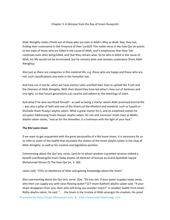#### Chapter 3: A Glimpse from the Ray of Imam Husayn24

Allah Almighty states {Think not of those who are slain in Allah's Way as dead. Nay, they live, finding their sustenance in the Presence of their Lord}25 This noble verse in the holy Qur'an points to the state of those who are killed in the cause of Allah, and it emphasises that their 'life' continues even after being killed, and that they remain alive. So he who is killed in the cause of Allah, his life would not be terminated, but he remains alive and receives sustenance (from Allah Almighty).

Also just as there are categories in this material life, e.g. those who are happy and those who are not, such classifications also exist in the hereafter too.

And how can it not be, when we have martyrs who scarified their lives to uphold the Truth and the Oneness of Allah Almighty. With their blood they have led other's lives out of darkness and into light, so that future generations can receive and adhere to the teachings of Islam.

And what if he who sacrificed himself – as well as being a martyr whom Allah promised eternal life – was also a pillar of faith and one of the Imams of the Muslims and mankind, such as Sayyid‐ul‐ Shuhada Imam Husayn alayhis‐salam. What a great martyr he is, and an esteemed station he occupies! Addressing Imam Husayn alayhis‐salam, his son and successor Imam Zayn al‐Abidin alayhis-salam states, "and as for the Hereafter, it is luminous with the light of your face".

#### **The Ma'soom Imam**

If we want to get acquainted with the great personality of a Ma'soom Imam, it is necessary for us to refer to some of the hadith that elucidate the station of the Imam alayhis‐salam in the view of Allah Almighty, as well as his creative and legislative position.

Commenting about the Qur'anic verse, {and he to whom wisdom is granted receives indeed a benefit overflowing}26 Imam Sadiq alayhis‐24 Abstract of lecture by Grand Ayatollah Sayyid Muhammad Shirazi 25 The Holy Qur'an, 3: 169.

salam said; "(This is) obedience of Allah and gaining knowledge about the Imam".

Also commenting about the Qur'anic verse, {Say: "Do you see; if your water (supply) seeps away, who then can supply you with clear-flowing water?"}27 Imam Kadhem alayhis-salam said, "If your Imam disappears from you, then who will bring you another Imam?" In another hadith from Imam Ridha alayhis‐salam, he said, ". . . the Imam is the trustee of Allah amongst His creation, His proof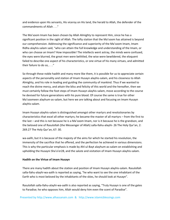and evidence upon His servants, His viceroy on His land, the herald to Allah, the defender of the commandments of Allah . . ."

The Ma'soom Imam has been chosen by Allah Almighty to represent Him, since he has a significant position in the sight of Allah. The lofty station that the Ma'soom has attained is beyond our comprehension. Addressing the significance and superiority of the Ma'soom Imam, Imam Ridha alayhis‐salam said, "who can attain the full knowledge and understanding of the Imam, or who can choose an Imam? How impossible! The intellects went astray, the minds were confused, the eyes were blurred, the great men were belittled, the wise were bewildered, the eloquent failed to describe one aspect of his characteristics, or one virtue of his many virtues, and admitted their failure to do so, . . ."

So through these noble hadith and many more like them, it is possible for us to appreciate certain aspects of the personality and station of Imam Husayn alayhis‐salam, and his closeness to Allah Almighty, and his role in leading and guiding the community of mankind. Thus if we wanted to reach the divine mercy, and attain the bliss and felicity of this world and the hereafter, then we must certainly follow the foot steps of Imam Husayn alayhis‐salam, move according to the course he devised for future generations with his pure blood. Of course the same is true for other Ma'soomeen alayhum‐as‐salam, but here we are talking about and focusing on Imam Husayn alayhis‐salam.

Imam Husayn alayhis‐salam is distinguished amongst other martyrs and revolutionaries by characteristics that excel all other martyrs; he became the master of all martyrs – from the first to the last – and this is not because he is a Ma'soom Imam, nor is it because he is the grandson, and the beloved one of Rasulollah (the Messenger of Allah) salla‐llahu‐alayhi‐ 26 The Holy Qur'an, 2: 269.27 The Holy Qur'an, 67: 30.

wa-aalih, but it is because of the majesty of the aims for which he started his revolution, the immensity of the sacrifice that he offered, and the perfection he achieved in various dimensions. This is why the particular emphasis is made by Ahl‐ul‐Bayt alayhum‐as‐salam on establishing and upholding the Husayni Sha'a'er28, and the salute and visitation of Imam Husayn alayhis‐salam.

#### **Hadith on the Virtue of Imam Husayn**

There are many hadith about the station and position of Imam Husayn alayhis‐salam. Rasulollah salla‐llahu‐alayhi‐wa‐aalih is reported as saying, "he who want to see the one inhabitant of the Earth who is most beloved by the inhabitants of the skies, he should look at Husayn".

Rasulollah salla‐llahu‐alayhi‐wa‐aalih is also reported as saying, "Truly Husayn is one of the gates to Paradise; he who opposes him, Allah would deny him even the scent of Paradise".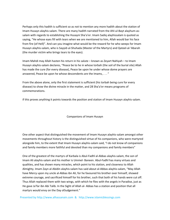Perhaps only this hadith is sufficient so as not to mention any more hadith about the station of Imam Husayn alayhis‐salam. There are many hadith narrated from the Ahl‐ul‐Bayt alayhum‐as‐ salam with regards to establishing the Husayni Sha'a'er. Imam Sadiq alayhissalam is quoted as saying, "He whose eyes fill with tears when we are mentioned to him, Allah would bar his face from fire (of Hell)". And can you imagine what would be the reward for he who weeps for Imam Husayn alayhis‐salam, who is Sayyid‐ul‐Shuhada (Master of the Martyrs) and Qateel‐al‐'Abarah (the murder victim who brings tears to the eyes).

Imam Mahdi may Allah hasten his return in his salute – known as Zeyart Nahiyah – to Imam Husayn alayhis‐salam declares, "Peace be to he in whose torbah (the soil of the burial site) Allah has made the cure (for every disease), Peace be upon he under whose dome prayers are answered, Peace be upon he whose descendents are the Imams, . . . "

From the above alone, only the first statement is sufficient (his torbah being cure for every disease) to show the divine miracle in the matter, and 28 Sha'a'er means programs of commemorations.

if this proves anything it points towards the position and station of Imam Husayn alayhis‐salam.

#### Companions of Imam Husayn

One other aspect that distinguished the movement of Imam Husayn alayhis‐salam amongst other movements throughout history is the distinguished virtue of his companions, who were martyred alongside him, to the extent that Imam Husayn alayhis‐salam said, "I do not know of companions and family members more faithful and devoted than my companions and family members"

One of the greatest of the martyrs of Karbala is Abul‐Fadhl al‐Abbas alayhis‐salam, the son of Imam Ali alayhis‐salam and his mother is Ummel‐ Baneen. Abul‐Fadhl has many virtues and qualities, and has shown many miracles, which point to his station, and closeness to Allah Almighty. Imam Zayn al‐Abidin alayhis‐salam has said about al‐Abbas alayhis‐salam, "May Allah have Mercy upon my uncle al‐Abbas ibn Ali, for he favoured his brother over himself, showed extreme courage, and sacrificed himself for his brother, such that both of his hands were cut off. Thus Allah replaced them with two wings, with which he flies with the angels in Paradise, just as He gave Ja'far ibn Abi Talib. In the Sight of Allah al‐ Abbas has a station and position that all martyrs would envy on the Day ofJudgement."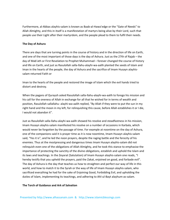Furthermore, al‐Abbas alayhis‐salam is known as Baab‐al‐Hawa'edge or the "Gate of Needs" to Allah Almighty, and this in itself is a manifestation of martyrs being alive by their Lord, such that people use their Light after their martyrdom, and the people plead to them to fulfil their needs.

### **The Day of Ashura**

There are days that are turning points in the course of history and in the direction of life on Earth, and one of the most important of those days is the day of Ashura. Just as the 27th of Rajab – the day of Mab'ath or First Revelation to Prophet Muhammad – forever changed the course of history and life on Earth, and just as Rasulollah salla‐llahu‐alayhi‐wa‐aalih planted the seeds of Islam and Iman in the hearts of the people, the day of Ashura and the sacrifice of Imam Husayn alayhis‐ salam returned Faith or

Iman to the hearts of the people and restored the image of Islam which the evil hands tried to distort and destroy.

When the pagans of Quraysh asked Rasulollah salla‐llahu‐alayhi‐wa‐aalih to forego his mission and his call for the oneness of Allah in exchange for all that he wished for in terms of wealth and position, Rasulollah sallallahu‐ alayhi‐wa‐aalih replied, "By Allah if they were to put the sun in my right hand and the moon in my left, for relinquishing this cause, before Allah establishes it or I die, I would not abandon it".

Just as Rasulollah salla‐llahu‐alayhi‐wa‐aalih showed his resolve and steadfastness in his mission, Imam Husayn alayhis‐salam manifested his resolve on a number of occasions in Karbala, which would never be forgotten by the passage of time. For example at noontime on the day of Ashura, one of the companions said it is prayer time as it is now noontime, Imam Husayn alayhis‐salam said, "Yes it is", and he led the noon prayers, despite the raging battle and the ferocity of his enemies. Thus at the mostpressing and dangerous times Imam Husayn alayhis‐salam did not relinquish even one of the obligations of Allah Almighty, and he took this stance to emphasise the importance of protecting the sanctity of the divine obligations, establish and uphold the Islam and its laws and teachings. In the Zeyarat (Salutation) of Imam Husayn alayhis‐salam one reads, "I hereby testify that you upheld the prayers, paid the Zakat, enjoined on good, and forbade evil". The day of Ashura is the day that teaches us how to straighten and perfect our way of life in this world, and how to match it to the Syrah or the way of life of Imam Husayn alayhis‐salam, who sacrificed everything he had for the sake of Enjoining Good, Forbidding Evil, and upholding the duties of Islam, implementing its teachings, and adhering to Ahl‐ul‐Bayt alayhum‐as‐salam.

#### **The Torch of Guidance and Ark of Salvation**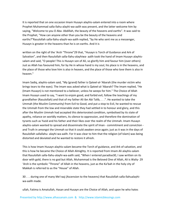It is reported that on one occasion Imam Husayn alayhis‐salam entered into a room where Prophet Muhammad salla‐llahu‐alayhi‐wa‐aalih was present, and the latter welcome him by saying, "Welcome to you O Aba‐ Abdillah, the beauty of the heavens and earths". It was said to the Prophet, "How can anyone other than you be the beauty of the heavens and earths?"Rasulollah salla‐llahu‐alayhi‐wa‐aalih replied, "by He who sent me as a messenger, Husayn is greater in the heavens than he is on earths. And it is

written on the right of the 'Arsh "Throne"29 that, "Husayn is Torch of Guidance and Ark of Salvation", and then Rasulollah salla‐llahu‐alayhiwa‐ aalih took the hand of Imam Husayn alayhis‐ salam and said, "O people! This is Husayn son of Ali, so glorify him and favour him (over others) Just as Allah has favoured him, for by He in whose hand is my soul, his place is in the heavens, and the place of those who love him is also in heaven, and the place of those who love them is also in heaven."

Imam Sadiq, alayhis‐salam said, "My (grand) father is Qateel‐al‐'Abarah (the murder victim who brings tears to the eyes). The Imam was asked what is Qateel‐al‐'Abarah? The Imam replied, "He (Imam Husayn) is not mentioned to a believer, unless he weeps for him." The Choice of Allah Imam Husayn used to say, "I want to enjoin good, and forbid evil, follow the teachings of my grandfather (Rasulollah) and that of my father Ali ibn Abi Talib, . . .". He wanted to take the Ummah (the Muslim Community) from Evil to Good, and put a stop to Evil, he wanted to rescue the Ummah from the low and miserable state they had settled in to honour and glory, and this after the Muslim Ummah had accepted this deteriorated condition, symbolised by its state of apathy, reliance on worldly matters, its silence to oppression, and therefore the domination of tyrants such as Yazid and his father and their likes over the realm of the Ummah. Imam Husayn alayhis-salam wanted to spread and disseminate the spirit of Iman - commitment and conviction and Truth in amongst the Ummah so that it could awaken once again; just as it was in the days of Rasulollah sallallahu‐ alayhi‐wa‐aalih. For it was clear to him that the religion (of Islam) was being distorted and deviated and he wanted to restore it afresh.

This is how Imam Husayn alayhis‐salam became the Torch of guidance, and Ark of salvation, and this is how he became the Choice of Allah Almighty. It is reported from Imam Ali alayhis‐salam that Rasulollah salla‐llahu‐alayhi‐wa‐aalih said, "When I entered paradise30, I saw written on its door with gold, there is no god but Allah, Muhammad is the Beloved One of Allah, Ali is Waliy‐ 29 'Arsh is the symbolic "Throne" of Allah in the heavens, just as the Ka'bah in the holy city of Makkah is referred to as the "House" of Allah.

30 . . . during one of many Me'raaj (Ascension to the heavens) that Rasulollah salla‐llahualayhi‐ wa‐aalih made.

ullah, Fatima is Amatullah, Hasan and Husayn are the Choice of Allah, and upon he who hates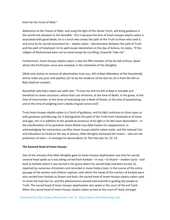them be the Curse of Allah."

Adherence to the Choice of Allah, and using the light of this Divine Torch, will bring guidance in this world and salvation in the hereafter. This is because the love of Imam Husayn alayhis‐salam is associated with good deeds, he is a torch who shows the path of the Truth to those who seek it, and since by his sacred movement he – alayhis-salam – discriminates between the path of Truth and the path of Falsehood. In his well‐known declaration on the day of Ashura, he states, "If the religion of Muhammad were not to stand except by my killing, Oswords! Take me".

Furthermore, Imam Husayn alayhis‐salam is also the fifth member of the As‐hab al‐Kissa, about whom the Purification verse was revealed; in the statement of the Almighty:

{Allah only wishes to remove all abomination from you, Ahl‐ul‐Bayt (Members of the Household), and to make you pure and spotless.}31 So by the evidence of the Qur'an, he is from the Ahl-ul-Bayt alayhum‐assalam.

Rasulollah salla‐llahu‐alayhi‐wa‐aalih said, "To love me and my Ahl‐ul‐Bayt is valuable and beneficial on seven occasions: whose fears are immense; at the time of death, in the grave, at the time of resurrection, at the (time of evaluating one's) Book of Deeds, at the time of questioning, and at the time of weighing (one's deeds of good verses evil)".

Truly Imam Husayn alayhis‐salam is a Torch of guidance, and his light continues to shine upon us with goodness and blessing; for it distinguishes the path of the Truth from Falsehood at all times and ages, this is in addition to the perpetual presence of his light in his Ma'soom descendent – in the manifestation of his grandson Imam Mahdi may Allah hasten his reappearance. In acknowledging the momentous sacrifice Imam Husayn alayhis‐salam made, and the colossal trial and tribulation he faced on the day of Ashura, Allah Almighty fashioned the Imams – who are the protectors of Islam – in amongst his descendents.31 The Holy Qur'an, 33: 33.

# **The Severed Head of Imam Husayn**

One of the miracles that Allah Almighty gave to Imam Husayn alayhissalam was that his sacred severed head spoke as it was being carried from Karbala – in Iraq – to Shaam – modern Syria – and back to Karbala where it was buried in the grave where his sacred body had been buried. As reported by numerous chroniclers and recorded in many history texts, in the course of the entire passage of the women and children captives, with which the heads of the martyrs of Karbala were also carried from Karbala to Shaam and back, the sacred head of Imam Husayn alayhis‐salam used to recite the holy Qur'an, and this phenomenon proved instrumental in guiding the people to Truth. The sacred head of Imam Husayn alayhissalam also spoke in the court of the evil Yazid. When the sacred head of Imam Husayn alayhis‐salam arrived at the court of Yazid, amongst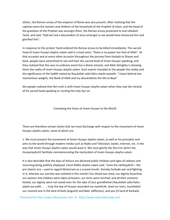others, the Roman envoy of the emperor of Rome was also present. After realising that the captives were the women and children of the household of the Prophet of Islam, and the head of the grandson of the Prophet was amongst them, the Roman envoy protested to and rebuked Yazid, and said, "Had we had a descendent of Jesus amongst us we would have honoured him and glorified him".

In response to this protest Yazid ordered the Roman envoy to be killed immediately. The sacred head of Imam Husayn alayhis‐salam said in a loud voice, "there is no power but that of Allah". At that occasion and at every other occasion throughout the journey from Karbala to Shaam and back, people were astonished to see and hear the sacred head of Imam Husayn speaking, and they realised that this was no ordinary event but a divine miracle, and Allah Almighty is showing them the realty of Imam Husayn alayhis‐salam. Such events revealed to the people the reality and the significance of the hadith stated by Rasulollah salla‐llahu‐alayhi‐waaalih, "I leave behind two momentous weights, the Book of Allah and my descendents the Ahl‐ul‐Bayt"

the people realised that the truth is with Imam Husayn alayhis‐salam when they saw the miracle of his sacred head speaking or reciting the holy Qur'an.

#### Conveying the Voice of Imam Husayn to the World

There are therefore certain duties that we must discharge with respect to the movement of Imam Husayn alayhis‐salam, some of which are:

1. We must present the movement of Imam Husayn alayhis‐salam, as well as his principles and aims to the world through modern media such as Radio and Television, books, internet, etc. in the way that Imam Husayn alayhis-salam would want it. We must glorify the Sha'a'er which the Husayniyahs32 facilitate commemorating the martyrdom of Imam Husayn alayhis‐salam.

It is also desirable that the days of Ashura are declared public holidays and signs of sadness and mourning being publicly displayed. Imam Ridha alayhis‐salam said, "even the Jahiliyyah33 – the pre‐Islamic era – used to regard Muharram as a scared month, thereby forbade war and fighting in it, whereas our sanctity was violated in this month! Our blood was shed, our dignity breached, our women and children were taken prisoners, our tents were torched; and all their contents looted, our dignity were not saved even for the sake of (our grandfather) Rasulollah salla‐llahu‐ alayhi‐wa‐aalih . . . , truly the day of Husayn wounded our eyelids34, shed our tears, humiliated our revered one in the land of Karb (anguish) and Bala' (affliction), and you (O land of Karbala)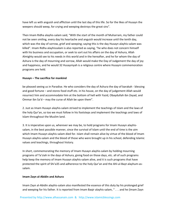have left us with anguish and affliction until the last day of this life. So for the likes of Husayn the weepers should weep, for crying and weeping destroys the great sins".

Then Imam Ridha alayhis‐salam said, "With the start of the month of Muharram, my father could not be seen smiling, every day his heartache and anguish would increase until the tenth day, which was the day of sorrow, grief and weeping; saying this is the day Husayn alayhis-salam was killed". Imam Ridha alayhissalam is also reported as saying, "he who does not concern himself with his business and occupation, or seek to sort out his affairs on the day of Ashura, Allah Almighty would see to his needs in this world and in the hereafter, and he for whom the day of Ashura is the day of mourning and sorrow, Allah would make the Day of Judgement the day of joy and happiness, and he would 32 Husayniyah is a religious centre where Husayni commemoration programs are held.

#### **Husayn – The sacrifice for mankind**

be pleased seeing us in Paradise. He who considers the day of Ashura the day of barakah - blessing and good fortune – and stores food stuff etc. in his house, on the day of judgement Allah would resurrect him and accommodate him at the bottom of hell with Yazid, Obaydullah ibn Zeyad, and Ommar ibn Sa'd – may the curse of Allah be upon them".

2. Just as Imam Husayn alayhis‐salam strived to implement the teachings of Islam and the laws of the holy Qur'an, so too we must follow in his footsteps and implement the teachings and laws of Islam throughout the Muslim land.

3. It is imperative upon us, wherever we may be, to hold programs for Imam Husayn alayhis‐ salam, in the best possible manner, since the survival of Islam until the end of time is the aim which Imam Husayn alayhis-salam died for. Islam shall remain alive by virtue of the blood of Imam Husayn alayhis‐salam and the blood of those who were brought up in his school, defending Islamic values and teachings, throughout history.

In short, commemorating the memory of Imam Husayn alayhis-salam by holding mourning programs of Ta'ziah in the days of Ashura, giving food on those days, etc. all of such programs help keep the memory of Imam Husayn alayhis-salam alive, and it is such programs that have protected the spirit of Shi'a35 and adherence to the holy Qur'an and the Ahl-ul-Bayt alayhum-assalam.

#### **Imam Zayn al‐Abidin and Ashura**

Imam Zayn al‐Abidin alayhis‐salam also manifested the essence of this duty by his prolonged grief and weeping for his father. It is reported from Imam Baqir alayhis-salam, "... and he (Imam Zayn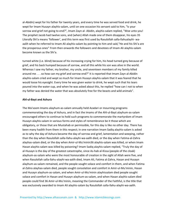al‐Abidin) wept for his father for twenty years, and every time he was served food and drink, he wept for Imam Husayn alayhis‐salam, until on one occasion his servant said to him, "Is your sorrow and grief not going to end?", Imam Zayn al‐ Abidin, alayhis‐salam replied, "Woe unto you! The prophet Jacob had twelve sons, and (when) Allah made one of them disappear, his eyes 35 Literally Shi'a means 'follower', and this term was first used by Rasulollah salla‐llahualayhi‐ wa‐ aalih when he referred to Imam Ali alayhis‐salam by pointing to him and said,"He and his Shi'a are the prosperous ones" From then onwards the followers and devotees of Imam Ali alayhis‐salam become known as the Shi'a.

turned white (i.e. blind) because of his increasing crying for him, his head turned grey because of grief, and his back humped because of sorrow, and all this while his son was alive in the world. Whereas I saw my father, my brother, my uncle, and seventeen members of my family killed around me . . . so how can my grief and sorrow end?" It is reported that Imam Zayn al‐Abidin alayhis‐salam cried and wept so much for Imam Husayn alayhis‐salam that it was feared that he would loose his eyesight. Every time he was given water to drink, he wept such that his tears poured into the water cup, and when he was asked about this, he replied "how can I not to when my father was denied the water that was absolutely free for the beasts and wild animals".

#### **Ahl‐ul‐Bayt and Ashura**

The Ma'soom Imams alayhum‐as‐salam annually held Azadari or mourning programs commemorating the day of Ashura, and in fact the Imams of the Ahl‐ul‐Bayt alayhum‐as‐salam encouraged others to continue to hold such programs to commemorate the martyrdom of Imam Husayn alayhis‐salam in various forms and styles of remembrance be it those which are obligatory, or those that are Mustahab or permissible, for this day is like no other day. There has been many hadith from them in this respect; in one narration Imam Sadiq alayhis‐salam is asked as to why the day of Ashura became the day of sorrow and grief, lamentation and weeping, rather than the day when Rasulollah salla‐llahu‐alayhi‐wa‐aalih died, or the day when Fatima‐al‐Zahra alayhas‐salam died, or the day when Amir‐ul‐Mu'minin36 alayhis‐salam was killed, or when Imam Hasan alayhis-salam was killed by poisoning? Imam Sadiq alayhis-salam replied, "Truly the day of al-Husayn is the day of the greatest catastrophe, since As-hab al-Kissa (people of the cloak) alayhum‐as‐salam who were the most honourable of creation in the sight of Allah were five, and when Rasulollah salla‐llahu‐alayhi‐wa‐aalih died, Imam Ali, Fatima al‐Zahra, Hasan and Husayn alayhum‐as‐salam remained, and the people sought solace and comfort in them, and when Fatima al‐Zahra alayhas‐salam died, people sought consolation and comfort in Amir‐ul‐Mu'minin, Hasan and Husayn alayhum‐as‐salam, and when Amir‐ul‐Mu'minin alayhissalam died people sought solace and comfort in Hasan and Husayn alayhum‐as‐salam, and when Hasan alayhis‐salam died people could find 36 Amir‐ul‐Mu'minin, meaning the Commander of the Faithful, is the title that was exclusively awarded to Imam Ali alayhis‐salam by Rasulollah salla‐llahu‐alayhi‐wa‐aalih.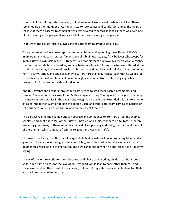comfort in Imam Husayn alayhis‐salam, but when Imam Husayn alayhissalam was killed, there remained no other member of As‐hab al‐Kissa to seek solace and comfort in, and by the killing of the last of them all access to As‐hab al‐Kissa was severed, whereas so long as there was even one of them amongst the people, it was as if all of them were amongst the people.

That is why the day of Husayn alayhis-salam is the most calamitous of all days."

Thus great rewards have been reported for establishing and upholding these Husayni Sha'a'er. Imam Baqir alayhis‐salam stated, "Imam Zayn al‐ Abidin used to say, "Any believer who weeps for Imam Husayn alayhissalam and his tragedy such that his tears run down his cheek, Allah Almighty shall accommodate him in Paradise, and any believer who wept for us for what we suffered at the hands of our enemy in this world such that his tears run down his cheeks Allah shall accommodate him in a lofty station, and any believer who suffers hardship in our cause, such that he weeps for us and his tears run down his cheek, Allah Almighty shall repel from his face any anguish and protects him from fire on the day of Judgement".

And thus tyrants and despots throughout history tried to stop these sacred ceremonies and Husayni Sha'a'er, as is the case of the (Ba'thist) regime in Iraq. The regime first began by banning the mourning ceremonies in the capital city – Baghdad – and it then extended this ban to all other cities of Iraq. It then went on to ban the people Basra and other cities from coming to Karbala on religious occasions such as on Ashura and on the day of Arba'een.

The Ba'thist regime then gained enough courage and confidence to arbitrary arrest the Ulema, scholars, and public speakers of the Husayni Sha'a'er, and subject them to brutal torture, before executing great many of them. All of this is in aid of suppressing and killing the spirit and the will of the Ummah, which emanate from the religious and Husayni Sha'a'er.

This was a quick insight in the role of Sayyid‐al‐Shuhada alayhis‐salam in protecting Islam, and a glimpse of his station in the sight of Allah Almighty, and lofty station and the eminence of the Imam in this world and in the hereafter, and how can it not be when he addresses Allah Almighty saying:

I have left the entire world for the sake of You and I have orphaned my children so that I see You So if I am cut into pieces for the love of You my heart would lean to none other than You And these words reflect the extent of the sincerity of Imam Husayn alayhis‐salam in his love for Allah, and his honesty in defending Islam.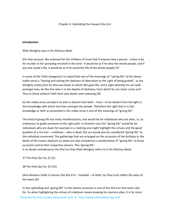#### Chapter 4: Upholding the Husayni Sha'a'er

#### **Introduction**

Allah Almighty says in His Glorious Book:

{On that account, We ordained for the Children of Israel that if anyone slew a person ‐ unless it be for murder or for spreading mischief in the land ‐ it would be as if he slew the whole people, and if any one saved a life, it would be as if he saved the life of the whole people.}37

In some of the Tafsir (exegesis) it is stated that one of the meanings of "saving life" of the above noble verse is "leaving and exiting the darkness of aberration to the Light of being guided", as the Almighty states,{Can he who was dead, to whom We gave life, and a Light whereby he can walk amongst men, be like him who is in the depths of darkness, from which he can never come out? Thus to those without Faith their own deeds seem pleasing.}38

So this noble verse considers he who is distant from faith – iman – to be distant from the light or the knowledge with which one lives amongst the people. Therefore the Light that is in fact knowledge or faith as presented in this noble verse is one of the meanings of "giving life".

This kind of giving life has many manifestations; one would be for individuals who are alive, i.e. to endeavour to guide someone to the right path. In Another case this "giving life" would be for individuals who are dead; for example in a meeting one might highlight the virtues and the good qualities of a mu'min – a believer – who is dead, this act would also be considered "giving life" to the individual concerned. The gatherings that are arranged on the occasions of the birthday or the death of the Imams alayhum‐as‐salam are also considered a manifestation of "giving life" to those occasions and to their respective owners. This "giving life"

is no doubt considered as the Sha'a'er that Allah Almighty refers to in His Glorious Book:

37 The Holy Qur'an, [5:22]

38 The Holy Qur'an, [6:122]

{And whoever holds in honour the Sha'a'er – Symbols – of Allah, for they truly reflect the piety of the heart.}39

Presented by http://www.alhassanain.com & http://www.islamicblessings.com In fact upholding and "giving life" to the Islamic occasions is one of the Sha'a'er that Islam calls for. So when highlighting the virtues of a believer means keeping his memory alive, it is far more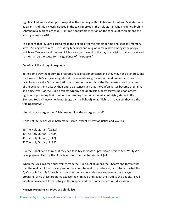significant when we attempt to keep alive the memory of Rasulollah and his Ahl-ul-Bayt alayhumas-salam. And this is clearly noticed in the tale reported in the holy Qur'an when Prophet Ibrahim (Abraham) alayhis‐salam said,{Grant me honourable mention on the tongue of truth among the latest generations}40.

This means that "O Lord I ask to make the people after me remember me and keep my memory alive – "giving life to me" – so that my teachings and religion remain alive amongst the people – which are Tawheed and the law of Allah – and at the end of the day the religion that you revealed to me shall be the cause for the guidance of the people."

### **Benefits of the Husayni programs**

In the same way the mourning programs have great importance and they may not be ignored, and the Husayni Sha'a'er have a significant role in revitalising the nations and no one can deny this fact. So too are the Qur'an recitation sessions, as the words of the Qur'an resonate in the hearts of the believers and occupy their entire existence such that the Qur'an verses become their aims and objectives. For the Qur'an rejects tyranny and oppression, or transgressing upon others' rights or suppressing their freedoms or sending them on exile. Allah Almighty states in His Glorious Book, {Those who do not judge by (the light of) what Allah hath revealed, they are the transgressors.}41

{And do not transgress for Allah does not like the transgressors}42

{Take not life, which Allah hath made sacred, except by way of justice and law.}43

 The Holy Qur'an, [22:32] The Holy Qur'an, [27: 84] The Holy Qur'an, [5: 47] The Holy Qur'an, [2: 190]

{Do the Unbelievers think that they can take My servants as protectors besides Me? Verily We have prepared Hell for the Unbelievers for (their) entertainment.}44

When the Muslims read such verses from the Qur'an, Allah opens their hearts and they realise that the reality (of their society and of their country and circumstances) is contrary to what the Qur'an calls for. It is for such reasons that the tyrants endeavour to prevent the Husayni programs, since these programs expose the criminals and reveal the truth to the people. I shall mention an account from history in this respect and then come back to our discussion.

#### **Husayni Programs vs. Ploys of Colonialists**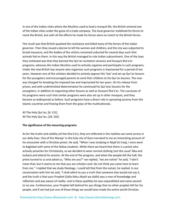In one of the Indian cities where the Muslims used to lead a tranquil life, the British entered one of the Indian cities under the guise of a trade company. The local governor mobilised his forces to resist the British, but with all the efforts he made his forces were no match to the British forces.

The result was that British quashed the resistance and killed many of the forces of the Indian governor. Then they issued a decree to kill the women and children, and the city was subjected to brutal massacre, and the bodies of the victims remained unburied for several days such that animals fed on them. In this way the British managed to rule Indian subcontinent. One of the laws they instituted was that they banned the Qur'an recitation sessions and Husayni Sha'a'er programs, whereas the Indian Muslims used to actively organise and participate in such programs. Under the new British law anyone who organises such programs is imprisoned for a period of ten years. However one of the scholars decided to actively oppose this 'law' and set up Qur'an lessons for the youngsters and encouraged parents to send their children to his Qur'an lessons. The man was charged for breaking the imposed law and imprisoned for ten years. On his release from prison, and with undiminished determination he continued his Qur'anic lessons for the youngsters, in addition to organising other lessons as well as Husayni Sha'a'er. The successes of his programs were such that similar programs were also set up in other mosques, and they became as widespread as before. Such programs have a direct role in uprooting tyranny from the Islamic countries and freeing them from the grips of the multinationals.

43 The Holy Qur'an, [6: 151] 44 The Holy Qur'an, [18: 102]

#### **The significance of the mourning programs**

As for the truths and validity (of the Sha'a'er), they are reflected in the realities we come across in our daily lives. One of the Maraje' in the holy city of Qum narrated to me an interesting account of his encounter with a Christian priest. He said, "When I was studying in Najaf (in Iraq), I once went to Baghdad with some of the fellow students. While there we heard that there is a priest who actively preaches for Christianity, so we decided to wear normal clothing (not the usual 'Aba and turban) and attend his session. At the end of the program, and when the people left the hall, the priest turned to us and asked us, "Who are you?" we replied, "we are native" he said, "I don't mean that, but it seems to me that you are scholars and I do not think you came here to learn from me." I replied that we study theology. I could tell that from the outset, he replied. In our conversation with him he said, "I shall admit to you a truth that someone else would not say it, and the truth is that your Prophet (Salla‐llahu Alayhi wa Aalih) was a man of knowledge and reflection and was aware of reality‐ and in these qualities he was unparalleled and came second to no one. Furthermore, your Prophet left behind for you things that no other prophet left for his people, and if we had just one of those things we would have made the entire world Christian.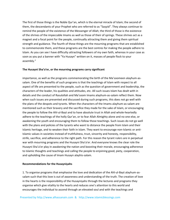The first of those things is the Noble Qur'an, which is the eternal miracle of Islam; the second of them, the descendants of your Prophet who are referred to as "Sayyid". They always continue to remind the people of the existence of the Messenger of Allah; the third of those is the existence of the shrines of the impeccable Imams as well as those of their of springs. These shrines act as a magnet and a focal point for the people, continually attracting them and giving them spiritual strength and guidance. The fourth of these things are the mourning programs that are established to commemorate them, and these programs are the best centres for making the people adhere to Islam. As you can see I have difficulty attracting followers of my own faith, whereas in your case as soon as you put a banner with "Ya Husayn" written on it, masses of people flock to your assembly."

#### **The Husayni Sha'a'er, or the mourning programs carry significant**

importance, as well as the programs commemorating the birth of the Ma'soomeen alayhum‐as‐ salam. One of the benefits of such programs is that the teachings of Islam with respect to all aspect of life are presented to the people, such as the question of government and leadership, the characters of the leader, his qualities and attitudes, etc. All such issues Islam has dealt with in details and the conduct of Rasulollah and Ma'soom Imams alayhum‐as‐salam reflect them. Now when such issues are presented and discussed during such programs, this does not go well with the plans of the despots and tyrants. When the characters of the Imams alayhum‐as‐salam are mentioned such as their bravery and the sacrifice they made for the sake of Islam, or encouraging the people to follow the Ahl-ul-Bayt and to have absolute trust in Allah and whole-heartedly adhere to the teachings of the holly Qur'an, or to fear Allah Almighty alone and no one else, or awakening the youth and encouraging them to follow those teachings. Such issues do not go well with the plans and policies of the tyrants who want to distance the people from Islam and their Islamic heritage, and to weaken their faith in Islam. They want to encourage non‐Islamic or anti‐ Islamic values in societies instead of truthfulness, trust, sincerity and honesty, responsibility, strife, sacrifice, and adherence to the right path. For this reason the tyrant rulers are in perpetual war with mourning programs and the Husayni Sha'a'er. And everyone knows the clear role the Husayni Sha'a'er play in awakening the nation and boosting their morale, encouraging adherence to Islamic thoughts and teachings and calling the people to enjoining good, piety, cooperation, and upholding the cause of Imam Husayn alayhis‐salam.

#### **Recommendations for the Husayniyahs**

1. To organise programs that emphasise the love and dedication of the Ahl‐ul‐Bayt alayhum‐as‐ salam such that this love is out of awareness and understanding of the truth. The creation of love in the hearts is the responsibility of the Husayniyahs through the lectures and programs they organise which give vitality to the hearts and reduces one's attention to this world and encourages the individual to ascend through an elevated soul and with the teachings and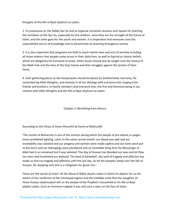thoughts of the Ahl‐ul‐Bayt alayhum‐as‐salam.

2. To emphasise on the Noble Qur'an and to organise recitation sessions and classes for teaching the recitation of the Qur'an, especially for the children, since they are the strength of the future of Islam, and the same goes for the youth and women. It is imperative that everyone uses this unparalleled source of knowledge and to disseminate its teaching throughout society.

3. It is also important that programs are held to teach Islamic laws and acts of worship including all those matters that people come across in their daily lives, as well as Aqa'ed or Islamic beliefs, which are obligatory for everyone to know. Other issues should also be taught such the history of the Math‐hab and the lives of the holy Imams and their struggles against the tyrants of their times.

4. Such gathering places as the Husayniyahs should be places for brotherhood, harmony, for remembering Allah Almighty, and honesty in all our dealings with everyone else ranging from friends and brothers, to family members and everyone else; the first and foremost being in our relation with Allah Almighty and the Ahl‐ul‐Bayt alayhum‐as‐salam.

Chapter 5: Benefiting from Ashura

According to the Views of Imam Shirazi45 by Karim al‐Mahrus46

'The month of Muharram is one of the months during which the people of pre‐Islamic or pagan times prohibited fighting. Later, in the same sacred month, our blood was spilt and our inviolability was violated and our progeny and women were made captive and our tents were put to the torch and our belongings were plundered and no inviolable thing that the Messenger of Allah had in us remained but it was violated. The Day of Husayn has blooded our eyes and let flow our tears and humiliated our beloved. The land of Karbala47, the land of tragedy and affliction has made us heirs to tragedy and affliction until the last day. So let the weepers weep over the like of Husayn, for weeping over him is a mitigation for grave sins.'

These are the words of Imam 'Ali ibn Musa al‐Ridha alayhis‐salam in which he depicts for us the extent of the recidivism of the Ummayad regime and the indelible mark that the slaughter of Imam Husayn alayhissalam left on the people of the Prophet's household or his Ahl‐ul‐Bayt alayhis‐salam. Such an immense tragedy it was and such a stain on the face of Islam.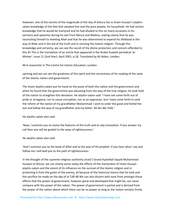However, one of the secrets of the magnitude of the day of Ashura lies in Imam Husayn's alayhis‐ salam knowledge of the fate that awaited him and the pure people, his household. He had certain knowledge that he would be martyred and he had alluded to this on many occasions in his sermons and speeches during his exit from Mecca and Medina, stating clearly that he was reconciling himself to meeting Allah and that he was determined to expend his lifeblood in the way of Allah and in the aid of the truth and in reviving the Islamic religion. Through this knowledge and certainty, we can see the secret of the divine protection and concern afforded to this 45 This is the translation of an article that appeared in the Arabic Kuwaiti periodical 'al‐ Minbar', issue 11 (2nd Year), April 2001, p.18. Translated by Ali Adam, London.

46 A researcher in The Centre for Islamic Education, London.

uprising and we can see the greatness of this spirit and the correctness of his reading of the state of the Islamic nation and government.

The Imam alayhis‐salam put his hand on the pulse of both the nation and the government and when he found that the government was deviating from the way of the true religion, he took hold of the nation to straighten this deviation. He alayhis‐salam said: 'I have not come forth out of pride or arrogance, nor to cause corruption, nor as an oppressor, but I have come forth to seek the reform of the nation of my grandfather Muhammad. I wish to order the good and forbid the evil and follow the way of my grandfather and my father 'Ali ibn Abi Talib.'

He alayhis‐salam also said:

'Now, I summon you to revive the features of the truth and to slay innovation. If you answer my call then you will be guided to the ways of righteousness.'

He alayhis‐salam also said:

'And I summon you to the book of Allah and to the way of His prophet. If you hear what I say and follow me I will lead you to the path of righteousness.'

In the thought of the supreme religious authority (marji') Grand Ayatollah Sayyid Muhammad Husayni al‐Shirazi, we can clearly sense today the effects of the martyrdom of Imam Husayn alayhis-salam and the extent of its influence on the survival of the Islamic religion and in protecting it from the guiles of the enemy, all because of the historical stance that he took and the sacrifice he made on the day of al‐Taff.48 We can also discern with ease from amongst these effects that the power of government, however great and developed that might be, can never compare with the power of the nation. The power of government is partial and is derived from the power of the nation above which there can be no power as long as the nation remains firmly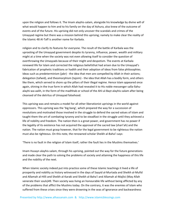upon the religion and follows it. The Imam alayhis‐salam, alongside his knowledge by divine will of what would happen to him and to his family on the day of Ashura, also knew of the outcome of events and of the future. His uprising did not only uncover the scandals and crimes of the Umayyad regime but there was a mission behind this uprising; namely to make clear the reality of the Islamic 48 Al‐Taff is another name for Karbala.

religion and to clarify its features for everyone. The result of the battle of Karbala was the uprooting of the Umayyad government despite its tyranny, influence, power, wealth and military might at a time when the society was not even allowing itself to consider the question of overthrowing the Umayyads because of their might and despotism. The events at Karbala renewed life for Islam and corrected the religious beliefsthat had arisen due to the Umayyad's fabrication of prophetic traditions or hadith and their adoption of ideas from false philosophies. Ideas such as predeterminism (jabr) - the idea that men are compelled by Allah in their actions; delegation (tafwid), and theomorphism (tajsim) ‐ the idea that Allah has a bodily form, and others like them, which served to shore up the pillars of their illegal regime. Hence Islam appeared once again, shining in the true form in which Allah had revealed it to His noble messenger salla‐llahu‐ alayhi-wa-aalih, in the form of the madhhab or school of the Ahl-ul-Bayt alayhis-salam after being cleansed of the detritus of Umayyad falsehood.

This uprising was and remains a model for all other liberationist uprisings in the world against oppressors. This uprising was the 'big bang', which prepared the way for a succession of revolutions and motivated those involved in the struggle to defend the sacred values of Islam and taught them the art of combating tyranny and to be steadfast in the struggle until they achieved a life of nobility and freedom. The nation then is a great power, and government has no power if the legality of its existence has not acquired the approval of the sacred law (shari'ah) and the nation. The nation must grasp however, that for the legal government to be righteous the nation must also be righteous. On this note, the renowned scholar Sheikh al‐Baha'i says:

'There is no fault in the religion of Islam itself, rather the fault lies in the Muslims themselves.'

Imam Husayn alayhis‐salam, through his uprising, pointed out the way for the future generations and made clear the path to solving the problems of society and attaining the happiness of this life and the nobility of the next.

When Islamic society indeed put into practice some of these Islamic teachings it lived a life of prosperity and nobility as history witnessed in the days of Sayyid al‐Murtada and Sheikh al‐Mufid and Allamah al‐Hilli and Sheikh al‐Karaki and Sheikh al‐Baha'i and Allamah al‐Majlisi (May Allah venerate their souls)49. Then society was living an honourable life without being afflicted by any of the problems that afflict the Muslims today. On the contrary, it was the enemies of Islam who suffered from these crises since they were drowning in the seas of ignorance and backwardness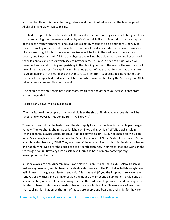and the like. 'Husayn is the lantern of guidance and the ship of salvation,' as the Messenger of Allah salla‐llahu‐alayhi‐wa‐aalih said.

This hadith or prophetic tradition depicts the world in the finest of ways in order to bring us closer to understanding the true nature and reality of this world. It likens this world to the dark depths of the ocean from which there is no salvation except by means of a ship and there is no way to escape from its glooms except by a lantern. This is a splendid simile. Man in this world is in need of a lantern to light for him the way otherwise he will be lost in the darkness of ignorance and poverty and illness and will fall into the abysses and will not be able to perceive and hence avoid the wild animals and beasts which seek to prey on him. He is also in need of a ship, which will preserve him from drowning and perishing in the clashing depths of the seas of the world and will take him to the shores of tranquillity in safety and peace. What is it that functions as the lantern to guide mankind in the world and the ship to rescue him from its depths? It is none other than that which was specified by divine revelation and which was pointed to by the Messenger of Allah salla‐llahu‐alayhi‐wa‐aalih when he said:

'The people of my household are as the stars, which ever one of them you seek guidance from, you will be guided.'

He salla‐llahu‐alayhi‐wa‐aalih also said:

'The similitude of the people of my household is as the ship of Noah, whoever boards it will be saved, and whoever tarries behind from it will drown.'

These two descriptors; the lantern and the ship, apply to all the fourteen impeccable personages namely; The Prophet Muhammad salla‐llahualayhi‐ wa‐aalih, 'Ali ibn Abi Talib alayhis‐salam, Fatima al‐Zahra' alayhas‐salam, Hasan al‐Mujtaba alayhis‐salam, Husayn al‐Shahid alayhis‐salam, 'Ali al‐Sajjad alayhis‐salam, Muhammad al‐Baqir alayhissalam, Ja'far al‐Sadiq alayhis‐salam, Musa al-Kadhim alayhis-salam, 'Ali 49 They are some of the most eminent authorities in Islamic sciences and hadith, who lived over the period ten to fifteenth centuries. Their researches and works in the teachings of Ahlul‐ Bayt alayhum‐as‐salam still form the basis of many contemporary investigations and works.

al‐Ridha alayhis‐salam, Muhammad al‐Jawad alayhis‐salam, 'Ali al‐Hadi alayhis‐salam, Hasan al‐ 'Askari alayhis‐salam, and Muhammad al‐Mahdi alayhis‐salam. The Prophet salla‐llahu‐alayhi‐wa‐ aalih himself is the greatest lantern and ship. Allah has said: {O you the Prophet, surely We have sent you as a witness and a bringer of glad tidings and a warner and a summoner to Allah and as an illuminating lantern}. Humanity, living as it is in the darkness of ignorance and drowning in the depths of chaos, confusion and anxiety, has no cure available to it – if it wants salvation – other than seeking illumination by the light of those pure people and boarding their ship; for they are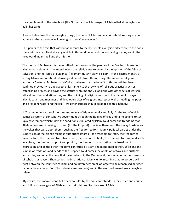the complement to the wise book (the Qur'an) as the Messenger of Allah salla-llahu-alayhi-waaalih has said:

'I leave behind me the two weighty things; the book of Allah and my household. As long as you adhere to these two you will never go astray after me ever.'

This points to the fact that without adherence to the household alongside adherence to the book there will be a resultant straying which, in this world means dishonour and ignominy and in the next world means hell and the inferno.

The month of Muharram is the month of the sorrows of the people of the Prophet's household alayhum‐as‐salam. It is the month when the religion was renewed by the uprising of the 'ship of salvation' and the 'lamp of guidance' (i.e. Imam Husayn alayhis-salam). In this sacred month, a strong Islamic nation should derive great benefit from this uprising. The supreme religious authority Ayatollah Muhammad al‐Shirazi believes that the benefit of this month has been confined previously to one aspect only; namely to the reviving of religious practises such as establishing prayer, and paying the statutory Khums and Zakat along with other acts of worship, ethical practises and etiquettes, and the building of religious centres in the name of Husayn alayhis‐salam and mosques and developing sites of religious interest as well as feeding the poor and providing water and the like. Two other aspects should be added to this, namely:

1. The implementation of the laws and rulings of Islam generally and fully. At the top of which comes a system of consultative government through the holding of free and fair elections to set up a government which fulfils the conditions stipulated by Islam. Next come the freedoms that Allah has ordered in saying: {. . . and (for the Prophet) to relieve them from the heavy burdens and the yokes that were upon them}, such as the freedom to form Islamic political parties under the supervision of the Islamic religious authorities (maraji'), the freedom to trade, the freedom to manufacture, the freedom to cultivate land, the freedom to build, the freedom to travel and settle in a place, the freedom to print and publish, the freedom of association, the freedom of expression, and all the other freedoms conferred by Islam and mentioned in the Qur'an and the sunnah or traditions and deeds of the Prophet. Next comes the abolition of taxes and customs and excise, and of all the laws that have no basis in the Qur'an and the sunnah or in the consensus of scholars or reason. Then comes the institution of Islamic unity meaning that no borders will exist between the countries of Islam and no differences small or large will be recognised between nationalities or races. For {The believers are brothers} and in the words of Imam Husayn alayhis‐ salam:

'By my life, the Imam is none but one who rules by the book and stands up for justice and equity and follows the religion of Allah and restrains himself for the sake of Allah.'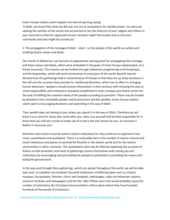Imam Husayn alayhis‐salam explains his eternal uprising saying:

'O Allah, you know that what we did was not out of competition for worldly power, nor were we seeking the vanities of this world, but we desired to see the features of your religion and reform in your land and so that the oppressed of your servants might find respite and so that your commands and laws might be carried out.'

2. The propagation of the message of Allah – Islam ‐ to the people of the world as a whole and instilling Islamic values and ideals.

The month of Muharram can become an appropriate starting point for propagating this message and these values and ideals, which were embodied in the goals of Imam Husayn alayhissalam, to a thirsty humanity. This mission can be funded through collections at gatherings and Husayniyas, and forming bodies, which will send missionaries to every part of the world. Benefit may be derived from the gatherings held in remembrance of Husayn in that they stir up deep emotions in the self and the occasion they provide for intellectual direction, which has an effect in changing human behaviour. Speakers should concern themselves in their sermons with showing the way to social responsibility and institutions should be established in every mosque and Islamic centre for the task of fulfilling the material needs of the people according to priorities. These may be funded by donations from charitable people and businessmen and the wealthy. Imam Husayn alayhis‐ salam said in encouraging donations and expending in the way of Allah:

'Your wealth does not belong to you unless you spend it in the way of Allah. Therefore do not leave it as a store for those who come after you, when you yourself will be held responsible for it. Know that you will not survive to make use of it and it will not remain for you, so consume it before it consumes you.'

Attention and concern must be paid to Islamic institutions for they continue to experience two crises; quantitative and qualitative. There is a noticeable lack in the number of Islamic cultural and social institutions and places of worship for Muslims in the Islamic world and for the Islamic communities in other countries. This quantitative lack may be filled by exploiting the occasion of Ashura so that preachers and hosts of gatherings concern themselves with setting up such institutions by encouraging and persuading the people to participate in providing the means and laying the ground work.

In this way and through these gatherings, which are spread throughout the world, we will be able, each year, to establish one hundred thousand institutions of differing types such as schools, mosques, Husayniyahs, libraries, clinics and hospitals, orphanages, radio and television stations, research institutes and newspapers and the like. After fifteen years this would probably equal the number of institutions the Christians have provided in Africa alone where they have founded hundreds of thousands of institutions.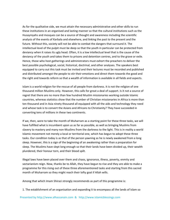As for the qualitative side, we must attain the necessary administrative and other skills to run these institutions in an organised and lasting manner so that the cultural institutions such as the Husayniyahs and mosques can be a source of thought and awareness including the scientific analysis of the events of Karbala and elsewhere, and linking the past to the present and the future. Without this, society will not be able to combat the dangers that surround it. The intellectual level of the pulpit must be deep so that the youth in particular can be protected from deviancy when it raises its ugly head. Often, it is a low intellectual level that is the cause of the deviancy of the youth and takes them to prisons and detention centres, and to the grave or exile. Hence, those who host gatherings and administrators must exhort the preachers to deliver the best possible psychological, social, historical, doctrinal, and other analyses. The speakers best equipped to carry out this task must be invited and their lectures must be recorded and published and distributed amongst the people to stir their emotions and direct them towards the good and the right and towards reform so that a wealth of information is available in all fields and aspects.

Islam is a world religion for the rescue of all people from darkness. It is not the religion of one thousand million Muslims only. However, this calls for great a deal of support. Is it not a source of regret that there are no more than few hundred Muslim missionaries working outside Islamic countries, whereas statistics show that the number of Christian missionaries in Africa is more than ten thousand and in Asia ninety thousand all equipped with all the aids and technology they need and whose task is to convert the Asians and Africans to Christianity? They have succeeded in converting tens of millions in these two continents.

If we, then, were to take the month of Muharram as a starting point for these three tasks, we will have fulfilled what is incumbent upon us as far as possible, as well as bringing Muslims from slavery to mastery and many non‐Muslims from the darkness to the light. This is in reality a world Islamic movement not merely a local or territorial one, which has begun to adopt these three tasks. Our condition today is as that of the person yawning as he is newly awakened from a long sleep. However, this is a sign of the beginning of an awakening rather than a preparation for sleep. The Muslims have slept long enough so that their lands have been divided up, their wealth plundered, their honour torn, and their blood spilt.

Illegal laws have been placed over them and chaos, ignorance, illness, poverty, enmity and sectarianism reign. Now, thanks be to Allah, they have begun to rise and they are able to make a programme for this rising out of these three aforementioned tasks and starting from this sacred month of Muharram so they might reach their lofty goal if Allah wills.

Among that which Imam Shirazi strongly recommends as part of this programme is:

1. The establishment of an organisation and expanding it to encompass all the lands of Islam so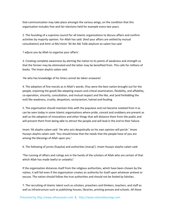that communication may take place amongst the various wings, on the condition that this organisation includes free and fair elections held for example every two years.

2. The founding of a supreme council for all Islamic organisations to discuss affairs and confirm activities by majority opinion. For Allah has said: {And your affairs are settled by mutual consultation} and Amir‐ul‐Mu'minin 'Ali ibn Abi Talib alayhum‐as‐salam has said:

'I adjure you by Allah to organise your affairs'.

3. Creating complete awareness by alerting the nation to its points of weakness and strength so that the former may be eliminated and the latter may be benefited from. This calls for millions of books. The Imam alayhis‐salam said:

'He who has knowledge of his times cannot be taken unawares'

4. The adoption of fine morals as in Allah's words: {You were the best nation brought out for the people, enjoining the good} like adopting reason and critical examination, flexibility, and affability, co-operation, sincerity, consultation, and mutual respect and the like, and {and forbidding the evil} like weakness, cruelty, despotism, sectarianism, hatred and feuding.

5. The organisation should maintain links with the populace and not become isolated from it as can be seen today in some Islamic organisations where pride, conceit and snobbery are present as well as the adoption of innovations and other things that will distance them from the public and will prevent them from being able to attract the people and will lead in the end to their failure.

Imam 'Ali alayhis‐salam said: 'He who acts despotically on his own opinion will perish.' Imam Husayn alayhis‐salam said: 'You should know that the needs that the people have of you are among the blessings of Allah upon you.'

6. The following of jurists (fuquha) and authorities (maraji'). Imam Husayn alayhis‐salam said:

'The running of affairs and rulings are in the hands of the scholars of Allah who are certain of that which Allah has made lawful or unlawful.'

If the organisation distances itself from the religious authorities, which have been chosen by the nation, it will fail even if the organisation creates an authority for itself upon whatever pretext or excuse. The nation should follow the true authorities and should not be fooled by falsities.

7. The recruiting of Islamic talent such as scholars, preachers and thinkers, teachers, and staff as well as infrastructure such as publishing houses, libraries, printing presses and schools. All these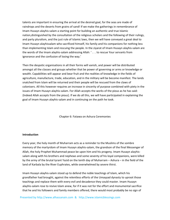talents are important in ensuring the arrival at the desired goal, for the seas are made of raindrops and the deserts from grains of sand! If we make the gatherings in remembrance of Imam Husayn alayhis‐salam a starting point for building an authentic and true Islamic nation,distinguished by the consultation of the religious scholars and the following of their rulings, and party pluralism, and the just rule of Islamic laws, then we will have conveyed a great deal to Imam Husayn alayhissalam who sacrificed himself, his family and his companions for nothing less than implementing Islam and rescuing the people. In the ziyarat of Imam Husayn alayhis‐salam are the words of the Imam alayhis‐salam addressing Allah: ' . . . to rescue Your servants from ignorance and the confusion of losing the way.'

Then the despotic organisations in all their forms will vanish, and power will be distributed amongst all the classes and groups whether that be power of governing or arms or knowledge or wealth. Capabilities will appear and bear fruit and the realities of knowledge in the fields of agriculture, manufacture, trade, education, and in the military will be become manifest. The lands snatched from Islam will be returned and their people will be rescued from the claws of colonisers. All this however requires an increase in sincerity of purpose combined with piety in the issues of Imam Husayn alayhis‐salam. For Allah accepts the works of the pious as he has said: {Indeed Allah accepts from the pious}. If we do all this, we will have participated in explaining the goal of Imam Husayn alayhis‐salam and in continuing on the path he took.

Chapter 6: Fatawa on Ashura Ceremonies

### **Introduction**

Every year, the holy month of Muharram acts as a reminder to the Muslims of the sombre memory of the martyrdom of Imam Husayn alayhis-salam, the grandson of the final Messenger of Allah, the holy Prophet Muhammad peace be upon him and his progeny. Imam Husayn alayhis‐ salam along with his brothers and nephews and some seventy of his loyal companions, were killed by the army of the brutal tyrant Yazid on the tenth day of Muharram – Ashura – in the field of the land of Karbala by the River Euphrates, while overwhelmed by severe thirst.

Imam Husayn alayhis‐salam stood up to defend the noble teachings of Islam, which his grandfather had brought, against the relentless efforts of the Umayyad dynasty to uproot those teachings and replace them with every evil and decadence they could master. Imam Husayn alayhis‐salam rose to revive Islam anew, for if it was not for the effort and monumental sacrifice that he and his followers and family members offered, there would most probably be no sign of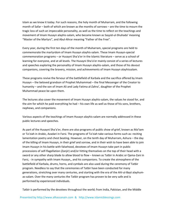Islam as we know it today. For such reasons, the holy month of Muharram, and the following month of Safar – both of which are known as the months of sorrows – are the time to mourn the tragic loss of such an impeccable personality, as well as the time to reflect on the teachings and movement of Imam Husayn alayhis‐salam, who became known as Sayyid‐ul‐Shuhada' meaning "Master of the Martyrs", and Abul‐Ahrar meaning "Father of the Free".

Every year, during the first ten days of the month of Muharram, special programs are held to commemorate the martyrdom of Imam Husayn alayhis‐salam. These Imam Husayn‐special commemoration programs – or Husayni Sha'a'er in the Islamic literature – serve as a school of learning for everyone, and at all levels. The Husayni Sha'a'er mainly consist of a series of lectures and speeches exploring the personality of Imam Husayn alayhis-salam, and those of his devout companions, covering the bravery, mission, and achievements of Imam Husayn alayhissalam.

These programs revive the fervour of the battlefield of Karbala and the sacrifice offered by Imam Husayn – the beloved grandson of Prophet Muhammad – the final Messenger of the Creator to humanity – and the son of Imam Ali and Lady Fatima al‐Zahra', daughter of the Prophet Muhammad peace be upon them.

The lectures also cover the movement of Imam Husayn alayhis‐salam, the values he stood for, and the aim for which he paid everything he had – his own life as well as those of his sons, brothers, nephews, and companions.

Various aspects of the teachings of Imam Husayn alayhis‐salam are normally addressed in these public lectures and speeches.

As part of the Husayni Sha'a'er, there are also programs of public show of grief, known as Ma'tam or Ta'ziah in Arabic, Azadari in Farsi. The programs of Ta'ziah take various forms such as: reciting lamentation poetry and chest beating. However, on the tenth day of Muharram, Ashura – the day of the killing of Imam Husayn, in their grief and sorrow, and in their wish to have been able to join Imam Husayn in his battle with falsehood, devotees of Imam Husayn take part in public processions of self‐flagellation (Zanjir) and/or hitting themselves on the top of their head with a sword or any other sharp blade to allow blood to flow – known as Tatbir in Arabic or Qama-Zani in Farsi, ‐ in sympathy with Imam Husayn,, and his companions. To create the atmosphere of the battlefield of Karbala, drums, horns, and cymbals are also used during the ceremony of Tatbir program. Needless to say that the ceremonies of Tatbir have been conducted for many generations, stretching over many centuries, and starting with the era of the Ahl-ul-Bayt alayhumas-salam. Over the many centuries the Tatbir program has proven to be very safe and is performed by experienced individuals.

Tatbir is performed by the devotees throughout the world; from India, Pakistan, and the Middle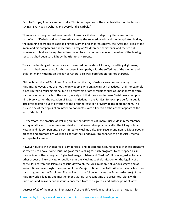East, to Europe, America and Australia. This is perhaps one of the manifestations of the famous saying; "Every day is Ashura, and every land is Karbala."

There are also programs of enactments – known as Shabeeh – depicting the scenes of the battlefield of Karbala and its aftermath, showing the severed heads, and the decapitated bodies, the marching of troops of Yazid taking the women and children captive, etc. After the killing of the Imam and his companions, the victorious army of Yazid torched their tents, and the fearful women and children, being chased from one place to another, ran over the ashes of the blazing tents that had been set alight by the triumphant troops.

Today, the torching of the tents are also enacted on the day of Ashura, by setting alight many tents that had been set up for this purpose. In sympathy with the sufferings of the women and children, many Muslims on the day of Ashura, also walk barefoot on red‐hot charcoal.

Although practices of Tatbir and fire walking on the day of Ashura are common amongst the Muslims, however, they are not the only people who engage in such practices. Tatbir for example is not limited to Muslims alone, but also followers of other religions such as Christianity perform such acts in certain parts of the world, as a sign of their devotion to Jesus Christ peace be upon him. Every year on the occasion of Easter, Christians in the Far East for example perform public acts of flagellation out of devotion to the prophet Jesus son of Mary peace be upon them. This issue is one of the topics of an interview conducted with a Christian scholar that appears at the end of this book.

Furthermore, the practice of walking on fire that devotees of Imam Husayn do in remembrance and sympathy with the women and children that were taken prisoners after the killing of Imam Husayn and his companions, is not limited to Muslims only. Even secular and non‐religious people practice and promote fire walking as part of their endeavour to enhance their physical, mental and spiritual stamina.

However, due to the widespread Islamophobia, and despite the nonuniqueness of these programs as referred to above, some Muslims go as far as calling for such programs to be stopped as, in their opinions, these programs "give bad image of Islam and Muslims". However, just as for any other aspect of life – private or public – that the Muslims seek clarification on the legality of a particular act from the Islamic legalistic viewpoint, the Muslim people at various stages and at various times have sought the opinion of the Maraje' of time – the Authorities on Islamic law – for such programs as the Tatbir and fire walking. In the following pages the Fatawa (decrees) of the Muslim world's leading and most eminent Maraje' of recent time are presented, along with questions and answers on the issues concerned from the legalistic and historic point of view.

Decrees of 22 of the most Eminent Maraje' of the Shi'a world regarding Ta'ziah or 'Azadari for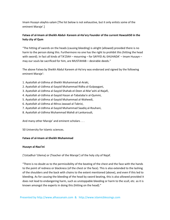Imam Husayn alayhis‐salam [The list below is not exhaustive, but it only enlists some of the eminent Maraje'.]

# Fatwa of al-Imam al-Sheikh Abdul- Kareem al-Ha'ery Founder of the current Hawzah50 in the **holy city of Qum**

"The hitting of swords on the heads (causing bleeding) is alright (allowed) provided there is no harm to the person doing this. Furthermore no one has the right to prohibit this (hitting the head with sword). In fact all kinds of TA'ZIAH – mourning – for SAYYID AL-SHUHADA' – Imam Husayn – may our souls be sacrificed for him, are MUSTAHAB – desirable deeds."

The above Fatwa by Sheikh Abdul Kareem al‐Ha'ery was endorsed and signed by the following eminent Maraje':

- 1. Ayatollah al‐Udhma al‐Sheikh Muhammad al‐Araki,
- 2. Ayatollah al‐Udhma al‐Sayyid Muhammad Ridha al‐Gulpaygani,
- 3. Ayatollah al‐Udhma al‐Sayyid Shahab‐el‐Deen al‐Mar'ashi al‐Najafi,
- 4. Ayatollah al‐Udhma al‐Sayyid Hasan al‐Tabataba'e al‐Qummi,
- 5. Ayatollah al‐Udhma al‐Sayyid Muhammad al‐Waheedi,
- 6. Ayatollah al‐Udhma al‐Mirza Jawaad al‐Tabrizi,
- 7. Ayatollah al‐Udhma al‐Sayyid Muhammad Saadiq al‐Rouhani,
- 8. Ayatollah al‐Udhma Muhammad Mahdi al‐Lankaroudi,

And many other Maraje' and eminent scholars . . .

50 University for Islamic sciences.

## **Fatwa of al‐Imam al‐Sheikh Muhammad**

## **Husayn al‐Naa'ini**

{'Ustadhul‐'Ulema} or {Teacher of the Maraje'} of the holy city of Najaf.

"There is no doubt as to the permissibility of the beating of the chest and the face with the hands to the point of redness or blackness (of the chest or the face). This is also extended to the lashing of the shoulders and the back with chains to the extent mentioned (above), and even if this led to bleeding. As for causing the bleeding of the head by sword beating, this is also allowed provided it does not lead to endangering harm, such as unstoppable bleeding or harm to the scull, etc. as it is known amongst the experts in doing this (hitting on the head)."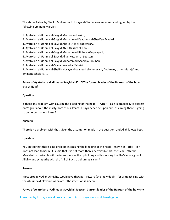The above Fatwa by Sheikh Muhammad Husayn al‐Naa'ini was endorsed and signed by the following eminent Maraje':

- 1. Ayatollah al‐Udhma al‐Sayyid Mohsen al‐Hakim,
- 2. Ayatollah al‐Udhma al‐Sayyid Muhammad Kaadhem al‐Shari'at‐ Madari,
- 3. Ayatollah al‐Udhma al‐Sayyid Abd‐el‐A'la al‐Sabzewary,
- 4. Ayatollah al‐Udhma al‐Sayyid Abul‐Qassim al‐Kho'i,
- 5. Ayatollah al‐Udhma al‐Sayyid Muhammad Ridha al‐Gulpaygani,
- 6. Ayatollah al‐Udhma al‐Sayyid Ali al‐Husayni al‐Seestani,
- 7. Ayatollah al‐Udhma al‐Sayyid Muhammad Saadiq al‐Rouhani,
- 8. Ayatollah al‐Udhma al‐Mirza Jawaad al‐Tabrizi,

9. Ayatollah al‐Udhma al‐Sheikh Husayn al‐Waheed al‐Khurasani, And many other Maraje' and eminent scholars . . .

# Fatwa of Ayatollah al-Udhma al-Sayyid al- Kho'i The former leader of the Hawzah of the holy **city of Najaf**

## **Question:**

Is there any problem with causing the bleeding of the head – TATBIR – as it is practiced, to express one's grief about the martyrdom of our Imam Husayn peace be upon him, assuming there is going to be no permanent harm?

## **Answer:**

There is no problem with that, given the assumption made in the question, and Allah knows best.

## **Question:**

You stated that there is no problem in causing the bleeding of the head – known as Tatbir – if it does not lead to harm. It is said that it is not more than a permissible act, then can Tatbir be Mustahab – desirable – if the intention was the upholding and honouring the Sha'a'er – signs of Allah – and sympathy with the Ahl‐ul‐Bayt, alayhum‐as‐salam?

## **Answer:**

Most probably Allah Almighty would give thawab – reward (the individual) – for sympathising with the Ahl-ul-Bayt alayhum-as-salam if the intention is sincere.

## Fatwa of Ayatollah al-Udhma al-Sayyid al-Seestani Current leader of the Hawzah of the holy city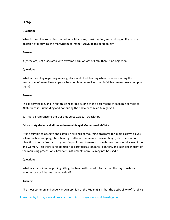## **of Najaf**

### **Question:**

What is the ruling regarding the lashing with chains, chest beating, and walking on fire on the occasion of mourning the martyrdom of Imam Husayn peace be upon him?

### **Answer:**

If (these are) not associated with extreme harm or loss of limb, there is no objection.

### **Question:**

What is the ruling regarding wearing black, and chest beating when commemorating the martyrdom of Imam Husayn peace be upon him, as well as other infallible Imams peace be upon them?

### **Answer:**

This is permissible, and in fact this is regarded as one of the best means of seeking nearness to Allah, since it is upholding and honouring the Sha'a'er of Allah Almighty51.

51 This is a reference to the Qur'anic verse 22:32. – translator.

## **Fatwa of Ayatollah al‐Udhma al‐Imam al‐Sayyid Muhammad al‐Shirazi**

"It is desirable to observe and establish all kinds of mourning programs for Imam Husayn alayhis‐ salam, such as weeping, chest beating, Tatbir or Qama‐Zani, Husayni Majlis, etc. There is no objection to organise such programs in public and to march through the streets in full view of men and women. Also there is no objection to carry flags, standards, banners, and such like in front of the mourning processions, however, instruments of music may not be used."

## **Question:**

What is your opinion regarding hitting the head with sword – Tatbir – on the day of Ashura whether or not it harms the individual?

#### **Answer:**

The most common and widely known opinion of the Fuqaha52 is that the desirability (of Tatbir) is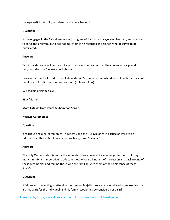(recognised) if it is not (considered) extremely harmful.

### **Question:**

If one engages in the Ta'ziah (mourning) program of for Imam Husayn alayhis‐salam, and goes on to serve the program, but does not do Tatbir, is he regarded as a sinner, who deserves to be humiliated?

### **Answer:**

Tatbir is a desirable act, and a mukallaf – i.e. one who has reached the adolescence age and is duty bound – may forsake a desirable act.

However, it is not allowed to humiliate a Mu'min53, and also one who does not do Tatbir may not humiliate or insult others, or accuse them (of false things).

52 scholars of Islamic law.

53 A faithful

**More Fatawa from Imam Muhammad Shirazi**

#### **Husayni Ceremonies**

#### **Question:**

If religious Sha'a'er (ceremonies) in general, and the Husayni ones in particular were to be ridiculed by others, should one stop practicing those Sha'a'er?

### **Answer:**

The Holy Qur'an states, {alas for the servants! there comes not a messenger to them but they mock him!}54 It is imperative to educate those who are ignorant of the reason and background of these ceremonies and remind those who are familiar (with them of the significance of these Sha'a'er).

## **Question:**

If failure and neglecting to attend in the Husayni Majalis (programs) would lead to weakening the Islamic spirit for the individual, and his family, would this be considered as a sin?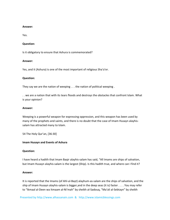#### **Answer:**

Yes.

### **Question:**

Is it obligatory to ensure that Ashura is commemorated?

#### **Answer:**

Yes, and it (Ashura) is one of the most important of religious Sha'a'er.

### **Question:**

They say we are the nation of weeping . . . the nation of political weeping .

. . we are a nation that with its tears floods and destroys the obstacles that confront Islam. What is your opinion?

#### **Answer:**

Weeping is a powerful weapon for expressing oppression, and this weapon has been used by many of the prophets and saints, and there is no doubt that the case of Imam Husayn alayhis‐ salam has attracted many to Islam.

54 The Holy Qur'an, [36:30]

## **Imam Husayn and Events of Ashura**

## **Question:**

I have heard a hadith that Imam Baqir alayhis‐salam has said, "All Imams are ships of salvation, but Imam Husayn alayhis-salam is the largest (Ship). Is this hadith true, and where can I find it?

#### **Answer:**

It is reported that the Imams (of Ahl‐ul‐Bayt) alayhum‐as‐salam are the ships of salvation, and the ship of Imam Husayn alayhis‐salam is bigger,and in the deep seas (it is) faster . . . . You may refer to "Ikmaal al‐Deen wa Itmaam al‐Ni'mah" by sheikh al‐Sadouq, "Ma'ali al‐Sebtayn" by sheikh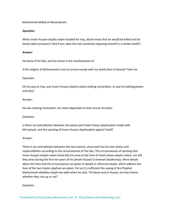Muhammad Mahdi al‐Mazandarani.

### **Question:**

When Imam Husayn alayhis‐salam headed for Iraq, did he know that he would be killed and his family taken prisoners? And if yes, does this not constitute exposing oneself to a certain death?

### **Answer:**

He knew of his fate, and his action is the manifestation of:

if the religion of Muhammad is not to survive except with my death,then O Swords! Take me.

### Question:

On his way to Iraq, was Imam Husayn alayhis‐salam seeking martyrdom, or was he seeking power, and why?

### Answer:

He was seeking martyrdom, for Islam depended on that course of action.

Question:

Is there no contradiction between the peace pact Imam Hasan alayhissalam made with Mo'awiyah, and the uprising of Imam Husayn alayhissalam against Yazid?

#### Answer:

There is no contradiction between the two stances, since each has his own duties and responsibilities according to the circumstances of the day. The circumstances of uprising that Imam Husayn alayhis‐salam faced did not arise at the time of Imam Hasan alayhis‐salam, nor did they arise during the first ten years of his (Imam Husayn's) imamah (leadership). More details about the lives and the circumstances are given in details in reference books, which address the lives of the two Imams alayhum‐as‐salam. For us it is sufficient the saying of the Prophet Muhammad sallallahu‐alayhi‐wa‐aalih when he said, "Al‐Hasan and al‐Husayn are two Imams whether they rise up or not".

## Question: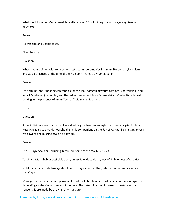What would you put Muhammad ibn al‐Hanafiyyah55 not joining Imam Husayn alayhis‐salam down to?

Answer:

He was sick and unable to go.

Chest beating

Question:

What is your opinion with regards to chest beating ceremonies for Imam Husayn alayhis‐salam, and was it practiced at the time of the Ma'soom Imams alayhum‐as‐salam?

Answer:

(Performing) chest beating ceremonies for the Ma'soomeen alayhum‐assalam is permissible, and in fact Mustahab (desirable), and the ladies descendent from Fatima al‐Zahra' established chest beating in the presence of Imam Zayn al‐'Abidin alayhis‐salam.

Tatbir

Question:

Some individuals say that I do not see shedding my tears as enough to express my grief for Imam Husayn alayhis‐salam, his household and his companions on the day of Ashura. So is hitting myself with sword and injuring myself is allowed?

Answer:

The Husayni Sha'a'er, including Tatbir, are some of the raajih56 issues.

Tatbir is a Mustahab or desirable deed, unless it leads to death, loss of limb, or loss of faculties.

55 Muhammad ibn al‐Hanafiyyah is Imam Husayn's half brother, whose mother was called al‐ Hanafiyyah.

56 raajih means acts that are permissible, but could be classified as desirable, or even obligatory depending on the circumstances of the time. The determination of those circumstances that render this are made by the Marje'. – translator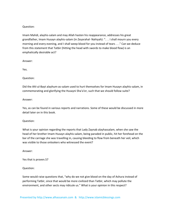## Question:

Imam Mahdi, alayhis‐salam and may Allah hasten his reappearance, addresses his great grandfather, Imam Husayn alayhis‐salam (in Zeyarahal‐ Nahiyah): ". . . I shall mourn you every morning and every evening, and I shall weep blood for you instead of tears . . ." Can we deduce from this statement that Tatbir (hitting the head with swords to make blood flow) is an emphatically desirable act?

Answer:

Yes.

### Question:

Did the Ahl‐ul‐Bayt alayhum‐as‐salam used to hurt themselves for Imam Husayn alayhis‐salam, in commemorating and glorifying the Husayni Sha'a'er, such that we should follow suite?

### Answer:

Yes, as can be found in various reports and narrations. Some of these would be discussed in more detail later on in this book.

## Question:

What is your opinion regarding the reports that Lady Zaynab alayhassalam, when she saw the head of her brother Imam Husayn alayhis-salam, being paraded in public, hit her forehead on the bar of the carriage she was travelling in, causing bleeding to flow from beneath her veil, which was visible to those onlookers who witnessed the event?

Answer:

Yes that is proven.57

Question:

Some would raise questions that, "why do we not give blood on the day of Ashura instead of performing Tatbir, since that would be more civilized than Tatbir, which may pollute the environment, and other sects may ridicule us." What is your opinion in this respect?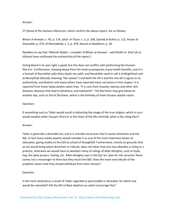### Answer:

57 {Some of the famous references, which confirm the above report, are as follows:

Bihaar al‐Anwaar; v. 45, p. 114, Jalaa' al‐'Oyun; v. 2, p. 238, Zaynab al‐Kubra; p. 112, Asraar al‐ Shahadah; p. 474, Al‐Muntakhab; v. 2, p. 478, Nusrat‐ul‐Madhlum; p. 18.

Needless to say that 'Allamah Majlisi – compiler of Bihaar al‐Anwaar – and Sheikh al‐ Shari'ah al‐ Isfahani have confirmed the authenticity of the report.}

Giving blood in its own right is good, but this does not conflict with performing the Husayni Sha'a'er. Furthermore, drawing blood from the head accompanies many health benefits, and it is a Sunnah of Rasulollah salla‐llahu‐alayhi‐wa‐aalih, and Rasulollah used to call it al‐Mughithah and al-Mungithah (literally meaning "the saviour") and both the Shi'a and the non-Shi'a agree on its authenticity, and Bukhari and many others have reported many narrations in this respect. It is reported from Imam Sadiq alayhis‐salam that, "It is cure from insanity, leprosy and other skin diseases, diseases that lead to blindness, and toothache". The Mu'minin may give blood on another day, such as 3rd of Sha'baan, which is the birthday of Imam Husayn alayhis‐salam.

## Question:

If something such as Tatbir would result in distorting the image of the true religion, which in turn would weaken other Husayni Sha'a'er in the heart of the Mu'minin58, what is the ruling then?

## Answer:

Tatbir is generally a desirable act, and it is actually not proven that it causes distortion and the like. In fact many media experts would consider it as one of the most important means of education, giving vitality to the (Shi'a) school of thought59. Furthermore, merely on grounds that an act would bring about distortion or ridicule, does not mean that one may abandon a ruling or a practice, otherwise we would have to abandon many of rulings of Allah Almighty, such as hijab, hajj, the daily prayers, fasting, etc. Allah Almighty says in the Qur'an: {alas for the servants! there comes not a messenger to them but they mock him!}60. Does the mock and ridicule of the prophets means that they should withdraw from their mission?

# Question:

Is the harm attained as a result of Tatbir regarded as permissible or desirable, for which one would be rewarded? Did the Ahl-ul-Bayt alayhum-as-salam encourage this?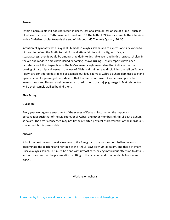### Answer:

Tatbir is permissible if it does not result in death, loss of a limb, or loss of use of a limb – such as blindness of an eye. If Tatbir was performed with 58 The faithful 59 See for example the interview with a Christian scholar towards the end of this book. 60 The Holy Qur'an, [36: 30]

intention of sympathy with Sayyid‐al‐Shuhada61 alayhis‐salam, and to express one's devotion to him and to defend the Truth, to train for and attain faithful spirituality, sacrifice, and steadfastness, then it would be amongst the definite desirable acts, and in this respect scholars in the old and modern times have issued endorsing Fatawa (rulings). Many reports have been narrated about the biographies of the Ma'soomeen alayhum‐assalam that indicate that the bearing of hardship and losses in the way of Allah, and training and disciplining the self on Taqwa (piety) are considered desirable. For example our lady Fatima al‐Zahra alayhassalam used to stand up in worship for prolonged periods such that her feet would swell. Another example is that Imams Hasan and Husayn alayhumas‐ salam used to go to the Hajj pilgrimage in Makkah on foot while their camels walked behind them.

## **Play Acting**

## Question:

Every year we organise enactment of the scenes of Karbala, focusing on the important personalities such that of the Ma'soom, or al‐Abbas, and other members of Ahl‐ul‐Bayt alayhum‐ as-salam. The actors concerned may not fit the reported physical characteristics of the individuals concerned. Is this permissible.

## Answer:

It is of the best means to seek closeness to the Almighty to use various permissible means to disseminate the teaching and heritage of the Ahl‐ul‐ Bayt alayhum‐as‐salam, and those of Imam Husayn alayhis‐salam. This must be done with utmost care, paying meticulous attention to details and accuracy, so that the presentation is fitting to the occasion and commendable from every aspect.

Working on Ashura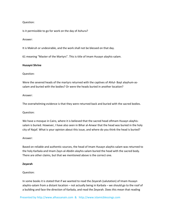### Question:

Is it permissible to go for work on the day of Ashura?

### Answer:

It is Makruh or undesirable, and the work shall not be blessed on that day.

61 meaning "Master of the Martyrs". This is title of Imam Husayn alayhis‐salam.

#### **Husayni Shrine**

### Question:

Were the severed heads of the martyrs returned with the captives of Ahlul- Bayt alayhum-assalam and buried with the bodies? Or were the heads buried in another location?

### Answer:

The overwhelming evidence is that they were returned back and buried with the sacred bodies.

## Question:

We have a mosque in Cairo, where it is believed that the sacred head of mam Husayn alayhissalam is buried. However, I have also seen in Bihar al-Anwar that the head was buried in the holy city of Najaf. What is your opinion about this issue, and where do you think the head is buried?

#### Answer:

Based on reliable and authentic sources, the head of Imam Husayn alayhis‐salam was returned to the holy Karbala and Imam Zayn‐al‐Abidin alayhis‐salam buried the head with the sacred body. There are other claims, but that we mentioned above is the correct one.

#### **Zeyarah**

## Question:

In some books it is stated that if we wanted to read the Zeyarah (salutation) of Imam Husayn alayhis‐salam from a distant location – not actually being in Karbala – we should go to the roof of a building and face the direction of Karbala, and read the Zeyarah. Does this mean that reading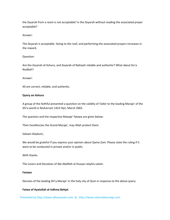the Zeyarah from a room is not acceptable? Is the Zeyarah without reading the associated prayer acceptable?

#### Answer:

The Zeyarah is acceptable. Going to the roof, and performing the associated prayers increases in the reward.

## Question:

Are the Zeyarah of Ashura, and Zeyarah of Nahiyah reliable and authentic? What about Du'a Nudbah?

#### Answer:

All are correct, reliable, and authentic.

### **Query on Ashura**

A group of the faithful presented a question on the validity of Tatbir to the leading Maraje' of the Shi'a world in Muharram 1423 Hijri, March 2002.

The question and the respective Maeaje' fatawa are given below:

Their Excellencies the Grand Maraje', may Allah protect them.

#### Salaam Alaykum,

We would be grateful if you express your opinion about Qama-Zani. Please state the ruling if it were to be conducted in private and/or in public.

With thanks

The Lovers and Devotees of Abi‐Abdillah al‐Husayn alayhis‐salam.

## **Fatawa**

Decrees of the leading Shi'a Maraje' in the holy city of Qum in response to the above query:

## **Fatwa of Ayatollah al‐Udhma Behjat**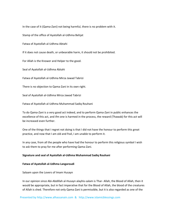In the case of it (Qama-Zani) not being harmful, there is no problem with it.

Stamp of the office of Ayatollah al‐Udhma Behjat

Fatwa of Ayatollah al‐Udhma Abtahi

If it does not cause death, or unbearable harm, it should not be prohibited.

For Allah is the Knower and Helper to the good.

Seal of Ayatollah al‐Udhma Abtahi

Fatwa of Ayatollah al‐Udhma Mirza Jawad Tabrizi

There is no objection to Qama‐Zani in its own right.

Seal of Ayatollah al‐Udhma Mirza Jawad Tabrizi

Fatwa of Ayatollah al‐Udhma Muhammad Sadiq Rouhani

To do Qama‐Zani is a very good act indeed, and to perform Qama‐Zani in public enhances the excellence of this act, and ifm one is harmed in the process, the reward (Thawab) for this act will be increased even further.

One of the things that I regret not doing is that I did not have the honour to perform this great practice, and now that I am old and frail, I am unable to perform it.

In any case, from all the people who have had the honour to perform this religious symbol I wish to ask them to pray for me after performing Qama‐Zani.

#### **Signature and seal of Ayatollah al‐Udhma Muhammad Sadiq Rouhani**

#### **Fatwa of Ayatollah al‐Udhma Langaroudi**

Salaam upon the Lovers of Imam Husayn

In our opinion since Abi‐Abdillah al‐Husayn alayhis‐salam is Thar‐ Allah, the Blood of Allah, then it would be appropriate, but in fact imperative that for the Blood of Allah, the blood of the creatures of Allah is shed. Therefore not only Qama‐Zani is permissible, but it is also regarded as one of the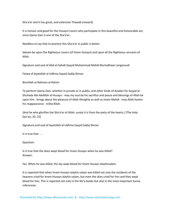Sha'a'er and it has great, and extensive Thawab (reward).

It is honour and good for the Husayni Lovers who participate in this beautiful and honourable act, since Qama‐Zani is one of the Sha'a'er.

Needless to say that to practice this Sha'a'er in public is better.

Salaam be upon the Righteous Lovers (of Imam Husayn) and upon all the Righteous servants of Allah.

Signature and seal of Abd‐el‐Saheb Sayyid Muhammad Mahdi Murtadhawi Langaroudi

Fatwa of Ayatollah al‐Udhma Sayyid Sadiq Shirazi

Bismillah al‐Rahman al‐Rahim

To perform Qama‐Zani, whether in private or in public, and other kinds of Azadari for Sayyid al‐ Shuhada Abi‐Abdillah al‐Husayn ‐ may my soul be his sacrifice and peace and blessings of Allah be upon him ‐ brings about the pleasure of Allah Almighty as well as Imam Mahdi ‐ may Allah hasten his reappearance ‐ InSha'Allah.

{And he who glorifies the Sha'a'er of Allah, surely it is from the piety of the hearts.} [The Holy Qur'an, 32: 22]

Signature and seal of Ayatollah al‐Udhma Sayyid Sadiq Shirazi

Is it true that . . .

Question:

Is it true that the skies wept blood for Imam Husayn when he was killed? Answer:

Yes. When he was killed, the sky wept blood for Imam Husayn alayhissalam.

It is reported that when Imam Husayn alayhis‐salam was killed not only the residents of the heavens cried for Imam Husayn alayhis-salam, but even the skies cried for him and they wept blood for him. This is reported not only in the Shi'a books but also in the most important Sunny references: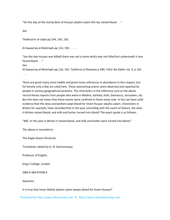"On the day of the martyrdom of Husayn alayhis‐salam the sky rained blood . . ."

See

Thakhaa'er al‐Uqba pp 144, 145, 150.

Al-Sawaa'eq al-Muhriqah pp 116, 192. . . . . .

"(on the day Husayn was killed) there was not a stone which was not lifted but underneath it was found blood . . ."

See

Al-Sawaa'eq al-Muhriqah pp 116, 192. Tathkirat-ul-Khawaas p 284, Tafsir ibn Kathir vol. 9, p 162.. . . .

There are great many more hadith and great many references in abundance in this respect, but for brevity only a few are cited here. These astonishing events were observed and reported by people in various geographical locations. The chroniclers in the reference such as the above record theses reports from people who were in Medina, Karbala, Kufa, Damascus, Jerusalem, etc. But this does not mean that these events were confined to those areas only. In fact we have solid evidence that the skies everywhere wept blood for Imam Husayn alayhis‐salam. Chroniclers in Britain for example, have recorded that in the year coinciding with the event of Ashura, the skies in Britain rained blood, and milk and butter turned into blood! The exact quote is as follows:

"685. In this year in Britain it rained blood, and milk and butter were turned into blood."

The above is recorded in:

The Anglo‐Saxon Chronicle,

Translated, edited by G. N. Garmonsway,

Professor of English,

King's College, London

ISBN 0‐460‐87038‐6

Question:

Is it true that Imam Mahdi alayhis‐salam weeps blood for Imam Husayn?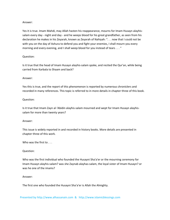### Answer:

Yes it is true. Imam Mahdi, may Allah hasten his reappearance, mourns for Imam Husayn alayhis‐ salam every day - night and day - and he weeps blood for his great grandfather, as seen from his declaration he makes in his Zeyarah, known as Zeyarah of Nahiyah: ". . . now that I could not be with you on the day of Ashura to defend you and fight your enemies, I shall mourn you every morning and every evening, and I shall weep blood for you instead of tears . . . "

## Question:

Is it true that the head of Imam Husayn alayhis‐salam spoke, and recited the Qur'an, while being carried from Karbala to Shaam and back?

## Answer:

Yes this is true, and the report of this phenomenon is reported by numerous chroniclers and recorded in many references. This topic is referred to in more details in chapter three of this book.

## Question:

Is it true that Imam Zayn al‐'Abidin alayhis‐salam mourned and wept for Imam Husayn alayhis‐ salam for more than twenty years?

## Answer:

This issue is widely reported in and recorded in history books. More details are presented in chapter three of this work.

Who was the first to . . .

## Question:

Who was the first individual who founded the Husayni Sha'a'er or the mourning ceremony for Imam Husayn alayhis‐salam? was she Zaynab alayhas‐salam, the loyal sister of Imam Husayn? or was he one of the imams?

## Answer:

The first one who founded the Husayni Sha'a'er is Allah the Almighty.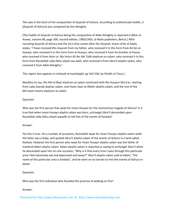This was in the form of the composition of Zeyarah of Ashura. According to authenticate hadith, it (Zeyarah of Ashura) was composed by the Almighty.

[The hadith of Zeyarah of Ashura being the composition of Allah Almighty is reported in Bihar al‐ Anwar, volume 98, page 300, second edition, 1983/1403, al‐Wafa publishers, Beirut.] After narrating Zeyarah of Ashura and the Du'a that comes after the Zeyarah, Imam Ja'far al‐Sadiq states, "I have received this Zeyarah from my father, who received it in this form from Ali ibn al‐ Husayn, who received it in this form from al‐Husayn, who received it from his brother al‐Hasan, who received it from Amir-ul- Mu'minin Ali ibn Abi Talib alayhum-as-salam, who received it in this form from Rasulollah salla‐llahu‐alayhi‐wa‐aalih, who received it from Jibra'il alayhis‐salam, who received it from Allah Almighty."

This report also appears in misbaah al‐motahajjid, pp 542‐546, by Sheikh al‐Tousi.]

Needless to say, the Ahl‐ul‐Bayt alayhum‐as‐salam continued with the Husayni Sha'a'er, starting from Lady Zaynab alayhas‐salam, and Imam Zayn‐al‐Abidin alayhis‐salam, and the rest of the Ma'soom Imams alayhum‐as‐salam.

## Question:

Who was the first person that wept for Imam Husayn for the momentous tragedy of Ashura? is it true that when Imam Husayn alayhis‐salam was born, archangel Jibra'il descended upon Rasulollah salla‐llahu‐alayhi‐waaalih to tell him of the events of Karbala?

# Answer:

Yes this is true. On a number of occasions, Rasulollah wept for Imam Husayn alayhis-salam while the latter was a baby, and quoted Jibra'il alayhis‐salam of the events of Ashura in a land called Karbala. However the first person who wept for Imam Husayn alayhis‐salam was the father of mankind Adam alayhis‐salam. Adam alayhis‐salam is reported as saying to archangel Jibra'il when he descended upon him on one occasion, "Why is it that every time I pass through this particular area I feel extremely sad and depressed and weep?" Jibra'il alayhis‐salam said to Adam, "The name of this particular area is Karbala", and he went on to narrate to him the events of Ashura in detail.

# Question:

Who was the first individual who founded the practice of walking on fire?

# Answer: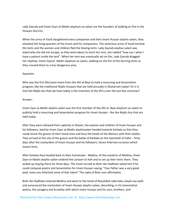Lady Zaynab and Imam Zayn‐al‐Abidin alayhum‐as‐salam are the founders of walking on fire in the Husayni Sha'a'er.

When the army of Yazid slaughtered every companion and then Imam Husayn alayhis‐salam, they attacked the living quarters of the Imam and his companions. The victorious army of Yazid torched the tents and the women and children fled the blazing tents. Lady Zaynab alayhas‐salam was asked why she did not escape, as they were about to torch her tent, she replied "how can I when I have a patient inside the tent". When her tent was eventually set on fire, Lady Zaynab dragged her nephew, Imam Zaynal‐ Abidin alayhum‐as‐salam, walking on the fire of the burning tents as they crossed them to a less dangerous area.

## Question:

Who was the first Ma'soom Imam from the Ahl-ul-Bayt to hold a mourning and lamentation program, like the traditional Majlis Husayni that are held annually in Muharram today? Or is it that the Majlis Aza that we have today is the invention of the Shi'a over the last few centuries?

#### Answer:

Imam Zayn al‐Abidin alayhis‐salam was the first member of the Ahl‐ul‐ Bayt alayhum‐as‐salam to publicly hold a mourning and lamentation program for Imam Husayn ‐ like the Majlis Aza that are held today.

After they were released from captivity in Shaam, the women and children of Imam Husayn and his followers, lead by Imam Zayn-al-Abidin alayhissalam headed towards Karbala so that they could revisit the graves of their loved ones and bury the heads of the Martyrs with their bodies. They arrived at the site of the graves and the battle of Karbala on the twentieth of Safar – forty days after the martyrdom of Imam Husayn and his followers, hence Arba'een occasion which means forty.

After Karbala they headed back to their hometown ‐ Medina. At the outskirts of Medina, Imam Zayn‐al‐Abidin alayhis‐salam ordered the caravan to halt and to set up their tents there. They ended up staying there for three days. The Imam turned to Bishr Ibn Hadhlam asked him if he could compose poetry and lamentation for Imam Husayn saying, "Your father was a very good poet, have you inherited some of that talent" The reply of Bishr was affirmative.

Bishr Ibn Hadhlam entered Medina and went to the tomb of Rasulollah salla‐llahu‐alayhi‐wa‐aalih and announced the martyrdom of Imam Husayn alayhis‐salam, describing, in his lamentation poetry, the savagery and brutality with which Imam Husayn and his sons, brothers, and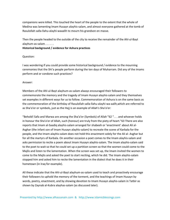companions were killed. This touched the heart of the people to the extent that the whole of Medina was lamenting Imam Husayn alayhis‐salam, and almost everyone gathered at the tomb of Rasulollah salla‐llahu‐alayhi‐waaalih to mourn his grandson en masse.

Then the people headed to the outside of the city to receive the remainder of the Ahl‐ul‐Bayt alayhum‐as‐salam . . . . . .

### **Historical background / evidence for Ashura practices**

### Question:

I was wondering if you could provide some historical background / evidence to the mourning ceremonies that the Shi'a people perform during the ten days of Muharram. Did any of the Imams perform and or condone such practices?

### Answer:

Members of the Ahl-ul-Bayt alayhum-as-salam always encouraged their followers to commemorate the memory and the tragedy of Imam Husayn alayhis‐salam and they themselves set examples in different ways for us to follow. Commemoration of Ashura is on the same basis as the commemoration of the birthday of Rasulollah salla-llahu-alayhi-wa-aalih,which are referred to as Sha'a'er or symbols, just as the Hajj is an example of Allah's Sha'a'er:

"Behold! Safa and Marwa are among the Sha'a'er (Symbols) of Allah "62 ". . . and whoever holds in honour the Sha'a'er of Allah, such (honour) are truly from the piety of heart."63 There are also reports that Imam al‐Saadiq alayhis‐salam arranged for shabeeh or 'enactment' about Ali al‐ Asghar (the infant son of Imam Husayn alayhis‐salam) to recreate the scene of Karbala for the people, and the Imam alayhis‐salam does not hold this enactment solely for the Ali al‐ Asghar but for all the martyrs of Karbala. On another occasion a poet comes to the Imam alayhis-salam and asks permission to recite a poem about Imam Husayn alayhis‐salam. The Imam alayhis‐salam said to the poet to wait so that he could set up a partition screen so that the women could come to the Majlis and listen to the lamentation. When the screen was set up, the Imam invited the women to come to the Majlis and asked the poet to start reciting, which he did. The Imam alayhis‐salam stopped him and asked him to recite the lamentation in the dialect that he does it in their hometown (in Iraq for example).

All these indicate that the Ahl‐ul‐Bayt alayhum‐as‐salam used to teach and proactively encourage their followers to uphold the memory of the torment, and the teachings of Imam Husayn by words, poetry, enactment, and by showing devotion to Imam Husayn alayhis‐salam in Tatbir as shown by Zaynab al‐Kubra alayhas‐salam (as discussed later).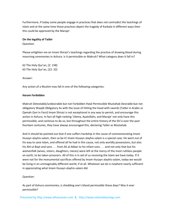Furthermore, if today some people engage in practices that does not contradict the teachings of Islam and at the same time those practices depict the tragedy of Karbala in different ways then this could be approved by the Maraje'.

#### **On the legality of Tatbir**

Question:

Please enlighten me on Imam Shirazi's teachings regarding the practice of drawing blood during mourning ceremonies in Ashura. Is it permissible or Makruh? What category does it fall in?

62 The Holy Qur'an, [2: 158] 63 The Holy Qur'an, [22: 32]

Answer:

Any action of a Muslim may fall in one of the following categories:

### **Haram Forbidden**

Makruh Detestable/undesirable but not Forbidden Halal Permissible Mustahab Desirable but not obligatory Waajib Obligatory As with the issue of hitting the head with swords (Tatbir in Arabic or Qamah‐Zani in Farsi) Imam Shirazi is not exceptional in any way to permit, and encourage this action in Ashura. In fact all high-ranking 'Ulema, Ayatollahs, and Maraje' not only have this permissible, and continue to do so, but throughout the entire history of the Shi'a over the past fourteen centuries, they have always encouraged this, declaring Tatbir as Mustahab.

And it should be pointed out that if one suffers hardship in the cause of commemorating Imam Husayn alayhis‐salam, then so be it! Imam Husayn alayhis‐salam is a special case. He went out of his way to save Islam, and offered all he had in this cause, not only worldly possessions, but also his Ahl-ul-Bayt and sons . . . from Ali al-Akbar to his infant sons . . . and not only that but his womenfolk (wives, sisters, daughters, nieces) were left at the mercy of the most ruthless people on earth, to be taken prisoners. All of this is in aid of us receiving the Islam we have today. If it were not for the monumental sacrifices offered by Imam Husayn alayhis‐salam, today we would be living in an unimaginably different world, if at all. Whatever we do is nowhere nearly sufficient in appreciating what Imam Husayn alayhis‐salam did.

## Question:

As part of Ashura ceremonies, is shedding one's blood permissible these days? Was it ever permissible?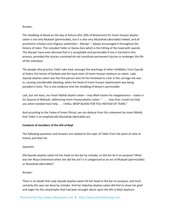### Answer:

The shedding of blood on the day of Ashura (the 10th of Muharram) for Imam Husayn alayhis‐ salam is not only Mubaah (permissible), but it is also very Mustahab (desirable) indeed, and all prominent scholars and religious authorities – Maraje' – always encouraged it throughout the history of Islam. This included Tatbir or Qama-Zani which is the hitting of the head with swords. The Maraje' have even decreed that it is acceptable and permissible if one is harmed in this process, provided the injuries sustained do not constitute permanent injuries or endanger the life of the individual.

The people who practice Tatbir take lead, amongst the teachings of other infallibles, from Zaynab al‐Kubra, the heroin of Karbala and the loyal sister of Imam Husayn alayhum‐as‐salam. Lady Zaynab alayhas‐salam was the first person who hit her forehead to a bar in the carriage she was in, causing considerable bleeding, when the head of Imam Husayn alayhissalam was being paraded in Kufa. This is one evidence that the shedding of blood is permissible.

Last, but not least, our Imam Mahdi alayhis‐salam – may Allah hasten his reappearance – states in his Zeyarat-al-Nahiyah, addressing Imam Husaynalayhis-salam: " . . . . now that I could not help you when needed most help . . . I SHALL WEEP BLOOD FOR YOU INSTEAD OF TEARS."

And according to the Fatwa of Imam Shirazi, we can deduce from this statement by Imam Mahdi, that Tatbir is an emphatically Mustahab (desirable) act.

## **Conducts of members of the Ahl‐ul‐Bayt**

The following questions and answers are related to the topic of Tatbir from the point of view of history and Shari'ah.

## Question:

Did Zaynab alayhas‐salam hit her head on the bar by mistake, or did she do it on purpose? What was her Niyya (intention) when she did the act? Is it categorised as an act of Mubaah (permissible) or Mustahab (desirable)?

## Answer:

There is no doubt that Lady Zaynab alayhas‐salam hit her head to the bar on purpose, and most certainly this was not done by mistake. And her ladyship alayhas‐salam did that to show her grief and anger for the catastrophe that had been brought about upon the Ahl-ul-Bayt alayhum-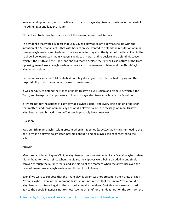assalam and upon Islam, and in particular to Imam Husayn alayhis‐salam – who was the head of the Ahl‐ul‐Bayt and leader of Islam.

This act was to declare her stance about the awesome events of Karbala.

The evidence that would suggest that Lady Zaynab alayhas‐salam did what she did with the intention of a Mustahab act is that with her action she wanted to defend the reputation of Imam Husayn alayhis‐salam and to defend the stance he took against the tyrant of the time. She did that to show how oppressed Imam Husayn alayhis‐salam was, and to declare and defend his cause, which is the Truth and the Haqq, and she did that to declare the Batil or False nature of the front opposing Imam Husayn alayhis‐salam, who are also the enemies of Islam and the Ahl‐ul‐Bayt alayhum‐as‐salam.

Her action was very much Mustahab, if not obligatory, given the role she had to play and the responsibility to discharge under those circumstances.

It was her duty to defend the stance of Imam Husayn alayhis‐salam and his cause, which is the Truth, and to expose the opponents of Imam Husayn alayhis‐salam who are the Falsehood.

If it were not for the actions of Lady Zaynab alayhas‐salam ‐ and every single action of hers for that matter ‐ and those of Imam Zayn‐al‐Abidin alayhis‐salam, the message of Imam Husayn alayhis‐salam and his action and effort would probably have been lost.

## Question:

Was our 4th Imam alayhis-salam present when it happened (Lady Zaynab hitting her head to the bar), or was he alayhis‐salam later informed about it and he alayhis‐salam consented to the action?

## Answer:

Most probably Imam Zayn‐al‐'Abidin alayhis‐salam was present when Lady Zaynab alayhas‐salam hit her head to the bar, since when she did so, the captives were being paraded in one single caravan through the Kufan streets, and she did so at the moment when the army displayed the head of Imam Husayn alayhis‐salam and those of his followers.

Even if we were to suppose that the Imam alayhis‐salam was not present in the vicinity of Lady Zaynab alayhas‐salam at that moment, history does not record that the Imam Zayn‐al‐'Abidin alayhis‐salam protested against that action! Normally the Ahl‐ul‐Bayt alayhum‐as‐salam used to advice the people in general not to show (too much) grief for their dead! But on the contrary, the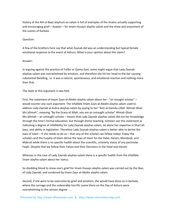history of the Ahl‐ul‐Bayt alayhum‐as‐salam is full of examples of the Imams actually supporting and encouraging grief – Azadari – for Imam Husayn alayhis-salam and the show and enactment of the scenes of Karbala.

### Question:

A few of the brothers here say that what Zaynab did was an understanding but typical female emotional response to the event of Ashura. What is your opinion about this claim?

### Answer:

In arguing against the practice of Tatbir or Qama‐Zani, some might argue that Lady Zaynab alayhas‐salam was overwhelmed by emotion, and therefore she hit her head to the bar causing substantial bleeding, i.e. it was a natural, spontaneous, and emotional reaction and nothing more than that.

The reply to this argument is two fold.

First, the statement of Imam Zayn‐al‐Abidin alayhis‐salam about her ‐ "an ntaught scholar" – would counter any such argument. The infallible Imam Zayn‐al‐Abidin alayhis‐salam used to address Lady Zaynab al‐Kubra alayhas‐salam by saying to her "Anti al‐Hamdu‐Lillah 'Alimah Ghair Mu'allimah", meaning "By the Grace of Allah, you are an untaught scholar" Alimah Ghair Mu'allimah – an untaught scholar – means that Lady Zaynab alayhas‐salam did not her knowledge through the time's formal education, but through divine teaching. Scholars see this statement as indicating a degree of infallibility for Lady Zaynab alayhas‐salam, let alone her expertise in Shari'ah laws, and ability in legislation. Therefore Lady Zaynab alayhas‐salam is better able to derive the laws of Islam – if she needs to do so – than any of the scholars we follow today! Today the scholars and the Fuqaha of Islam derive the laws of Islam for the Halal, Haram, Mandoub, and Makruh while there is no specific hadith about the scientific, scholarly status of any particular Faqih. Despite that we follow their Fatwa and their Decisions in the Halal and Haram.

Whereas in the case of Lady Zaynab alayhas-salam there is a specific hadith from the infallible Imam alayhis‐salam about her status.

So shedding blood to show one's grief for Imam Husayn alayhis‐salam was carried out by the likes of Lady Zaynab, and condoned by Imam Zayn al‐Abidin alayhis‐salam.

Second, if she were to be overcome by grief and emotion, she would have done so in Karbala, where the carnage and the unbearably horrific scene there on the Day of Ashura were overwhelming to the utmost degree . . .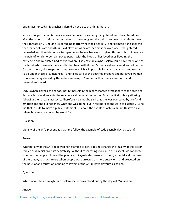but in fact her Ladyship alayhas-salam did not do such a thing there ...

let's not forget that at Karbala she sees her loved ones being slaughtered and decapitated one after the other . . . before her own eyes . . . the young and the old . . . and even the infants have their throats slit . . . no one is spared, no matter what their age is . . . and ultimately she sees the then leader of Islam and Ahl‐ul‐Bayt alayhum‐as‐salam, her most beloved one is slaughtered, beheaded and then his body is trampled upon before her eyes . . . given this most horrific scene – the pain of which no pen can put to paper, with the blood of her loved ones flooding the battlefield and mutilated bodies everywhere, Lady Zaynab alayhas‐salam could have taken one of the hundreds of swords there and hit her head with it, but Zaynab alayhas‐salam does not do that. On the contrary she keeps her composure – which is impossible for almost any man and woman to do under those circumstances – and takes care of the petrified orphans and bereaved women who were being chased by the victorious army of Yazid after their tents were burnt and possessions looted.

Lady Zaynab alayhas-salam does not hit herself in the highly charged atmosphere at the scene of Karbala, but she does so in the relatively calmer environment of Kufa, the first public gathering following the Karbala massacre. Therefore it cannot be said that she was overcome by grief and emotion and she did not know what she was doing, but in fact her actions were calculated . . . she did that in Kufa to make a public statement . . . about the events of Ashura, Imam Husayn alayhis‐ salam, his cause, and what he stood for.

#### Question:

Did any of the Shi'a present at that time follow the example of Lady Zaynab alayhas‐salam?

#### Answer:

Whether any of the Shi'a followed her example or not, does not change the legality of this act or reduce or diminish from its desirability. Without researching more into this aspect, we cannot tell whether the people followed the practice of Zaynab alayhas-salam or not, especially at the times of the Umayyad brutal rulers when people were arrested on mere suspicions, and executed on the basis of an accusation of being followers of the Ahl‐ul‐Bayt alayhum‐as‐salam.

## Question:

Which of our Imams alayhum-as-salam use to draw blood during the days of Muharram?

#### Answer: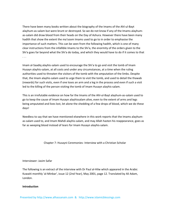There have been many books written about the biography of the Imams of the Ahl‐ul‐Bayt alayhum-as-salam but were brunt or destroyed. So we do not know if any of the Imams alayhumas-salam did draw blood from their heads on the Day of Ashura. However there have been many hadith that show the extent the ma'soom Imams used to go to in order to emphasise the importance of such matters. This can be seen from the following hadith, which is one of many clear instructions from the infallible Imams to the Shi'a, the enormity of the orders given to the Shi'a goes far beyond what the Shi'a do today, and which they would have to do if it comes to that . . .

Imam al‐Saadiq alayhis‐salam used to encourage the Shi'a to go and visit the tomb of Imam Husayn alayhis‐salam, at all costs and under any circumstances, at a time when the ruling authorities used to threaten the visitors of the tomb with the amputation of the limbs. Despite that, the Imam alayhis‐salam used to urge them to visit the tomb, and used to detail the thawab (rewards) for such visits, even if one loses an arm and a leg in the process and even if such a visit led to the killing of the person visiting the tomb of Imam Husayn alayhis‐salam.

This is an irrefutable evidence on how far the Imams of the Ahl‐ul‐Bayt alayhum‐as‐salam used to go to keep the cause of Imam Husayn alayhissalam alive, even to the extent of arms and legs being amputated and lives lost, let alone the shedding of a few drops of blood, which we do these days!

Needless to say that we have mentioned elsewhere in this work reports that the Imams alayhum‐ as‐salam used to, and Imam Mahdi alayhis‐salam, and may Allah hasten his reappearance, goes as far as weeping blood instead of tears for Imam Husayn alayhis‐salam.

Chapter 7: Husayni Ceremonies‐ Interview with a Christian Scholar

#### Interviewer: Jasim Safar

The following is an extract of the interview with Dr Paul al‐Hilw which appeared in the Arabic Kuwaiti monthly 'al‐Minbar', issue 12 (2nd Year), May 2001, page 12. Translated by Ali Adam, London.

## **Introduction**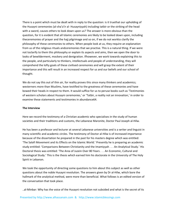There is a point which must be dealt with in reply to the question: is it truethat our upholding of the Husayni ceremonies (al‐sha'a'ir al‐ Husayniyyah) including tatbir or the striking of the head with a sword, causes others to look down upon us? The answer is more obvious than the question, for it is evident that all Islamic ceremonies are likely to be looked down upon, including theceremonies of prayer and the hajj pilgrimage and so on, if we do not workto clarify the philosophy of these ceremonies to others. When people look at us, they require an explanation from us of the religious rituals andceremonies that we practise. This is a natural thing. If we were not toclarify to them this philosophy or explain its aspects and aims, then we open the door to looks of bewilderment, mockery and denigration. Ifhowever, we work towards explaining this to the people, and particularly to thinkers, intellectuals and people of understanding, they will comprehend the lofty goals of these civilised ceremonies and will grasp the extent of their importance and this will result in an increased respect for us and our beliefs and our school of thought.

We do not say this out of thin air, for reality proves this since many thinkers and academics; westerners more than Muslims, have testified to the greatness of these ceremonies and have bowed their heads in respect to them. It would suffice for us to peruse books such as 'Testimonies of western scholars about Husayni ceremonies,' or 'Tatbir, a reality not an innovation,' in order to examine these statements and testimonies in abundance64.

#### **The Interview**

Here we record the testimony of a Christian academic who specialises in the study of human societies and their traditions and customs, the Lebanese Maronite, Doctor Paul Joseph al‐Hilw.

He has been a professor and lecturer at several Lebanese universities and is a writer and linguist in many scientific and academic circles. The testimony of Doctor al‐Hilw is of increased importance because of the dissertation he prepared in the past for his masters degree which was entitled: 'The Salafi Movement and its Effects on the Islamic World.' Presently he is preparing an academic study entitled: 'Comparisons Between Christianity and the Imamiyyah . . . An Analytical Study.' His Doctoral thesis was entitled: 'The Area of Juzein Over 80 Years . . . An Economic, Cultural and Sociological Study.' This is the thesis which earned him his doctorate in the University of The Holy Spirit in Lebanon.

We took the opportunity of directing some questions to him about this subject as well as other questions about the noble Husayni revolution. The answers given by Dr al‐Hilw, which bore the hallmark of the analytical method, were more than beneficial. What follows is an edited version of the conversation that took place.

..al‐Minbar: Why has the voice of the Husayni revolution not subsided and what is the secret of its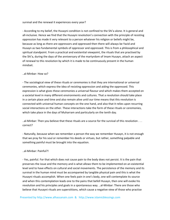### survival and the renewal it experiences every year?

‐ According to my belief, the Husayni condition is not confined to the Shi'a alone. It is general and all-inclusive. Hence we find that the Husayni revolution's connection with the principle of resisting oppression has made it very relevant to a person whatever his religion or beliefs might be, because as long as there are oppressors and oppressed then there will always be Yazid and Husayn as two fundamental symbols of oppressor and oppressed. This is from a philosophical and spiritual standpoint. From a practical and existential viewpoint, the rituals that are practised by the Shi'a, during the days of the anniversary of the martyrdom of Imam Husayn, attach an aspect of renewal to this revolution by which it is made to be continuously present in the human mindset.

### ..al‐Minbar: How so?

‐ The sociological view of these rituals or ceremonies is that they are international or universal ceremonies, which express the idea of resisting oppression and aiding the oppressed. This expression is what gives these ceremonies a universal flavour and which makes them accepted on a societal level in many different environments and cultures. That a revolution should take place in a certain place and time and also remain alive until our time means that this revolution is connected with universal human concepts on the one hand, and also that it relies upon recurring social interactions on the other. These interactions take the form of these rituals or ceremonies, which take place in the days of Muharram and particularly on the tenth day.

..al‐Minbar: Then you believe that these rituals are a source for the survival of this revolution . . . correct?

‐ Naturally, because when we remember a person the way we remember Husayn, it is not enough that we pray for his soul or remember his deeds or virtues, but rather, something palpable and something painful must be brought into the equation.

#### ..al‐Minbar: Painful?!

‐ Yes, painful. For that which does not cause pain to the body does not persist. It is the pain that preserves the issue and the memory and is what allows them to be implemented on an existential level and to have effects on cultural and social movements. The persistence of the memory and its survival in the human mind must be accompanied by tangible physical pain and this is what the Husayni rituals accomplish. When one feels pain in one's body, one will contemplate its source and when this contemplation leads one to the pains that befell Husayn, then one will evoke his revolution and his principles and goals in a spontaneous way. ..al‐Minbar: There are those who believe that Husayni rituals are superstitions, which cause a negative view of those who practise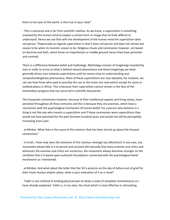them in the eyes of the world. Is this true in your view?

‐ This is nonsense and is far from scientific realities. As we know, a superstition is something invented by the human mind to explain a certain form or image that he finds difficult to understand. Hence we see that with the development of the human mind the superstition does not persist. Theprinciple as regards superstition is that it does not persist and does not remain but ceases to be when its inventor ceases to be. Religious rituals and ceremonies however, are based on doctrine and faith, which know no imperfection or middle ground; hence they have persisted and survived.

There is a difference between belief and mythology. Mythology consists of imaginings invented by man in order to arrive at what is behind natural phenomena and these imaginings are what generally drives man towards superstitions until he comes close to understanding and comprehendingthese phenomena. Most of these superstitions are now obsolete; for instance, we can see how those who used to worship the sun or the moon are now extinct except for some in isolated places in Africa. This is because their superstition cannot remain in the face of the tremendous progress that has occurred in scientific discoveries.

The Husaynian ceremonies however, because of their intellectual aspects and living values, have persisted throughout all these centuries and this is because they are practises, which have a connection with the psychological mechanism of human belief. For a person who believes in a thing is not like one who invents a superstition and if these ceremonies were superstitions they would not have persisted for the past fourteen hundred years and would not still be perceptibly increasing every year.

..al‐Minbar: What then is the cause of this clamour that has been stirred up about the Husayni ceremonies?

‐ In truth, I have only seen the existence of this clamour amongst you (Muslims)! In any case, any movement whose fate it is to persist and succeed will naturally find many enemies and critics and whenever the enemies and critics are numerous, the movement always becomes stronger on the condition that it is based upon authentic foundations connected with the psychological belief mechanism as I mentioned.

..al‐Minbar: And what about the tatbir that the Shi'a practice on the day of Ashura out of grief for their Imam Husayn alayhis‐salam, what is your evaluation of it as a ritual?

‐ Tatbir is one method of evoking physical pain to attain a state of complete remembrance as I have already explained. Tatbir is, in my view, the ritual which is most effective in stimulating